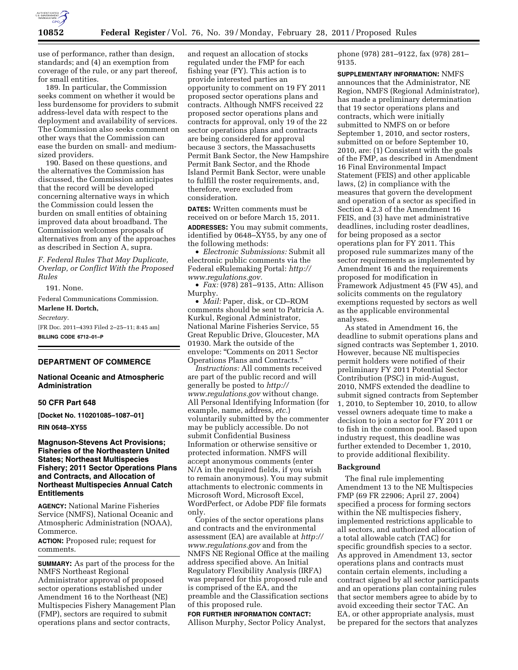

use of performance, rather than design, standards; and (4) an exemption from coverage of the rule, or any part thereof, for small entities.

189. In particular, the Commission seeks comment on whether it would be less burdensome for providers to submit address-level data with respect to the deployment and availability of services. The Commission also seeks comment on other ways that the Commission can ease the burden on small- and mediumsized providers.

190. Based on these questions, and the alternatives the Commission has discussed, the Commission anticipates that the record will be developed concerning alternative ways in which the Commission could lessen the burden on small entities of obtaining improved data about broadband. The Commission welcomes proposals of alternatives from any of the approaches as described in Section A, supra.

*F. Federal Rules That May Duplicate, Overlap, or Conflict With the Proposed Rules* 

191. None.

Federal Communications Commission. **Marlene H. Dortch,** 

*Secretary.* 

[FR Doc. 2011–4393 Filed 2–25–11; 8:45 am] **BILLING CODE 6712–01–P** 

# **DEPARTMENT OF COMMERCE**

# **National Oceanic and Atmospheric Administration**

# **50 CFR Part 648**

**[Docket No. 110201085–1087–01]** 

#### **RIN 0648–XY55**

# **Magnuson-Stevens Act Provisions; Fisheries of the Northeastern United States; Northeast Multispecies Fishery; 2011 Sector Operations Plans and Contracts, and Allocation of Northeast Multispecies Annual Catch Entitlements**

**AGENCY:** National Marine Fisheries Service (NMFS), National Oceanic and Atmospheric Administration (NOAA), Commerce.

**ACTION:** Proposed rule; request for comments.

**SUMMARY:** As part of the process for the NMFS Northeast Regional Administrator approval of proposed sector operations established under Amendment 16 to the Northeast (NE) Multispecies Fishery Management Plan (FMP), sectors are required to submit operations plans and sector contracts,

and request an allocation of stocks regulated under the FMP for each fishing year (FY). This action is to provide interested parties an opportunity to comment on 19 FY 2011 proposed sector operations plans and contracts. Although NMFS received 22 proposed sector operations plans and contracts for approval, only 19 of the 22 sector operations plans and contracts are being considered for approval because 3 sectors, the Massachusetts Permit Bank Sector, the New Hampshire Permit Bank Sector, and the Rhode Island Permit Bank Sector, were unable to fulfill the roster requirements, and, therefore, were excluded from consideration.

**DATES:** Written comments must be received on or before March 15, 2011. **ADDRESSES:** You may submit comments, identified by 0648–XY55, by any one of the following methods:

• *Electronic Submissions:* Submit all electronic public comments via the Federal eRulemaking Portal: *[http://](http://www.regulations.gov)  [www.regulations.gov.](http://www.regulations.gov)* 

• *Fax:* (978) 281–9135, Attn: Allison Murphy.

• *Mail:* Paper, disk, or CD–ROM comments should be sent to Patricia A. Kurkul, Regional Administrator, National Marine Fisheries Service, 55 Great Republic Drive, Gloucester, MA 01930. Mark the outside of the envelope: ''Comments on 2011 Sector Operations Plans and Contracts.''

*Instructions:* All comments received are part of the public record and will generally be posted to *[http://](http://www.regulations.gov) [www.regulations.gov](http://www.regulations.gov)* without change. All Personal Identifying Information (for example, name, address, *etc.*) voluntarily submitted by the commenter may be publicly accessible. Do not submit Confidential Business Information or otherwise sensitive or protected information. NMFS will accept anonymous comments (enter N/A in the required fields, if you wish to remain anonymous). You may submit attachments to electronic comments in Microsoft Word, Microsoft Excel, WordPerfect, or Adobe PDF file formats only.

Copies of the sector operations plans and contracts and the environmental assessment (EA) are available at *[http://](http://www.regulations.gov) [www.regulations.gov](http://www.regulations.gov)* and from the NMFS NE Regional Office at the mailing address specified above. An Initial Regulatory Flexibility Analysis (IRFA) was prepared for this proposed rule and is comprised of the EA, and the preamble and the Classification sections of this proposed rule.

# **FOR FURTHER INFORMATION CONTACT:**

Allison Murphy, Sector Policy Analyst,

phone (978) 281–9122, fax (978) 281– 9135.

**SUPPLEMENTARY INFORMATION:** NMFS announces that the Administrator, NE Region, NMFS (Regional Administrator), has made a preliminary determination that 19 sector operations plans and contracts, which were initially submitted to NMFS on or before September 1, 2010, and sector rosters, submitted on or before September 10, 2010, are: (1) Consistent with the goals of the FMP, as described in Amendment 16 Final Environmental Impact Statement (FEIS) and other applicable laws, (2) in compliance with the measures that govern the development and operation of a sector as specified in Section 4.2.3 of the Amendment 16 FEIS, and (3) have met administrative deadlines, including roster deadlines, for being proposed as a sector operations plan for FY 2011. This proposed rule summarizes many of the sector requirements as implemented by Amendment 16 and the requirements proposed for modification in Framework Adjustment 45 (FW 45), and solicits comments on the regulatory exemptions requested by sectors as well as the applicable environmental analyses.

As stated in Amendment 16, the deadline to submit operations plans and signed contracts was September 1, 2010. However, because NE multispecies permit holders were notified of their preliminary FY 2011 Potential Sector Contribution (PSC) in mid-August, 2010, NMFS extended the deadline to submit signed contracts from September 1, 2010, to September 10, 2010, to allow vessel owners adequate time to make a decision to join a sector for FY 2011 or to fish in the common pool. Based upon industry request, this deadline was further extended to December 1, 2010, to provide additional flexibility.

#### **Background**

The final rule implementing Amendment 13 to the NE Multispecies FMP (69 FR 22906; April 27, 2004) specified a process for forming sectors within the NE multispecies fishery, implemented restrictions applicable to all sectors, and authorized allocation of a total allowable catch (TAC) for specific groundfish species to a sector. As approved in Amendment 13, sector operations plans and contracts must contain certain elements, including a contract signed by all sector participants and an operations plan containing rules that sector members agree to abide by to avoid exceeding their sector TAC. An EA, or other appropriate analysis, must be prepared for the sectors that analyzes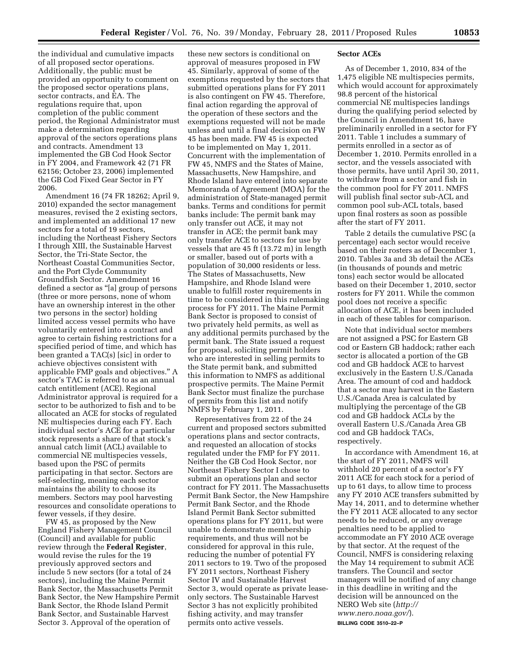the individual and cumulative impacts of all proposed sector operations. Additionally, the public must be provided an opportunity to comment on the proposed sector operations plans, sector contracts, and EA. The regulations require that, upon completion of the public comment period, the Regional Administrator must make a determination regarding approval of the sectors operations plans and contracts. Amendment 13 implemented the GB Cod Hook Sector in FY 2004, and Framework 42 (71 FR 62156; October 23, 2006) implemented the GB Cod Fixed Gear Sector in FY 2006.

Amendment 16 (74 FR 18262; April 9, 2010) expanded the sector management measures, revised the 2 existing sectors, and implemented an additional 17 new sectors for a total of 19 sectors, including the Northeast Fishery Sectors I through XIII, the Sustainable Harvest Sector, the Tri-State Sector, the Northeast Coastal Communities Sector, and the Port Clyde Community Groundfish Sector. Amendment 16 defined a sector as ''[a] group of persons (three or more persons, none of whom have an ownership interest in the other two persons in the sector) holding limited access vessel permits who have voluntarily entered into a contract and agree to certain fishing restrictions for a specified period of time, and which has been granted a TAC(s) [sic] in order to achieve objectives consistent with applicable FMP goals and objectives.'' A sector's TAC is referred to as an annual catch entitlement (ACE). Regional Administrator approval is required for a sector to be authorized to fish and to be allocated an ACE for stocks of regulated NE multispecies during each FY. Each individual sector's ACE for a particular stock represents a share of that stock's annual catch limit (ACL) available to commercial NE multispecies vessels, based upon the PSC of permits participating in that sector. Sectors are self-selecting, meaning each sector maintains the ability to choose its members. Sectors may pool harvesting resources and consolidate operations to fewer vessels, if they desire.

FW 45, as proposed by the New England Fishery Management Council (Council) and available for public review through the **Federal Register**, would revise the rules for the 19 previously approved sectors and include 5 new sectors (for a total of 24 sectors), including the Maine Permit Bank Sector, the Massachusetts Permit Bank Sector, the New Hampshire Permit Bank Sector, the Rhode Island Permit Bank Sector, and Sustainable Harvest Sector 3. Approval of the operation of

these new sectors is conditional on approval of measures proposed in FW 45. Similarly, approval of some of the exemptions requested by the sectors that submitted operations plans for FY 2011 is also contingent on FW 45. Therefore, final action regarding the approval of the operation of these sectors and the exemptions requested will not be made unless and until a final decision on FW 45 has been made. FW 45 is expected to be implemented on May 1, 2011. Concurrent with the implementation of FW 45, NMFS and the States of Maine, Massachusetts, New Hampshire, and Rhode Island have entered into separate Memoranda of Agreement (MOA) for the administration of State-managed permit banks. Terms and conditions for permit banks include: The permit bank may only transfer out ACE, it may not transfer in ACE; the permit bank may only transfer ACE to sectors for use by vessels that are 45 ft (13.72 m) in length or smaller, based out of ports with a population of 30,000 residents or less. The States of Massachusetts, New Hampshire, and Rhode Island were unable to fulfill roster requirements in time to be considered in this rulemaking process for FY 2011. The Maine Permit Bank Sector is proposed to consist of two privately held permits, as well as any additional permits purchased by the permit bank. The State issued a request for proposal, soliciting permit holders who are interested in selling permits to the State permit bank, and submitted this information to NMFS as additional prospective permits. The Maine Permit Bank Sector must finalize the purchase of permits from this list and notify NMFS by February 1, 2011.

Representatives from 22 of the 24 current and proposed sectors submitted operations plans and sector contracts, and requested an allocation of stocks regulated under the FMP for FY 2011. Neither the GB Cod Hook Sector, nor Northeast Fishery Sector I chose to submit an operations plan and sector contract for FY 2011. The Massachusetts Permit Bank Sector, the New Hampshire Permit Bank Sector, and the Rhode Island Permit Bank Sector submitted operations plans for FY 2011, but were unable to demonstrate membership requirements, and thus will not be considered for approval in this rule, reducing the number of potential FY 2011 sectors to 19. Two of the proposed FY 2011 sectors, Northeast Fishery Sector IV and Sustainable Harvest Sector 3, would operate as private leaseonly sectors. The Sustainable Harvest Sector 3 has not explicitly prohibited fishing activity, and may transfer permits onto active vessels.

#### **Sector ACEs**

As of December 1, 2010, 834 of the 1,475 eligible NE multispecies permits, which would account for approximately 98.8 percent of the historical commercial NE multispecies landings during the qualifying period selected by the Council in Amendment 16, have preliminarily enrolled in a sector for FY 2011. Table 1 includes a summary of permits enrolled in a sector as of December 1, 2010. Permits enrolled in a sector, and the vessels associated with those permits, have until April 30, 2011, to withdraw from a sector and fish in the common pool for FY 2011. NMFS will publish final sector sub-ACL and common pool sub-ACL totals, based upon final rosters as soon as possible after the start of FY 2011.

Table 2 details the cumulative PSC (a percentage) each sector would receive based on their rosters as of December 1, 2010. Tables 3a and 3b detail the ACEs (in thousands of pounds and metric tons) each sector would be allocated based on their December 1, 2010, sector rosters for FY 2011. While the common pool does not receive a specific allocation of ACE, it has been included in each of these tables for comparison.

Note that individual sector members are not assigned a PSC for Eastern GB cod or Eastern GB haddock; rather each sector is allocated a portion of the GB cod and GB haddock ACE to harvest exclusively in the Eastern U.S./Canada Area. The amount of cod and haddock that a sector may harvest in the Eastern U.S./Canada Area is calculated by multiplying the percentage of the GB cod and GB haddock ACLs by the overall Eastern U.S./Canada Area GB cod and GB haddock TACs, respectively.

In accordance with Amendment 16, at the start of FY 2011, NMFS will withhold 20 percent of a sector's FY 2011 ACE for each stock for a period of up to 61 days, to allow time to process any FY 2010 ACE transfers submitted by May 14, 2011, and to determine whether the FY 2011 ACE allocated to any sector needs to be reduced, or any overage penalties need to be applied to accommodate an FY 2010 ACE overage by that sector. At the request of the Council, NMFS is considering relaxing the May 14 requirement to submit ACE transfers. The Council and sector managers will be notified of any change in this deadline in writing and the decision will be announced on the NERO Web site (*[http://](http://www.nero.noaa.gov/) [www.nero.noaa.gov/](http://www.nero.noaa.gov/)*). **BILLING CODE 3510–22–P**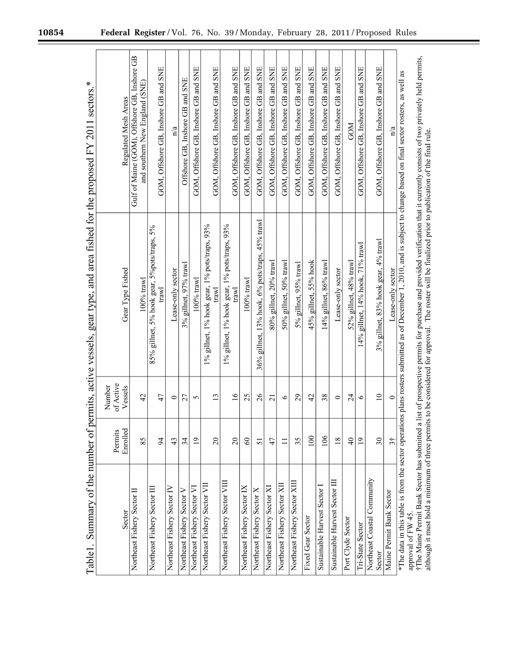۳

| Summary of the number of<br>Table1.        |                      | permits, active vessels, | gear type, and area fished for the proposed FY 2011                                                                                                                      | ⋇<br>sectors.                                                                  |
|--------------------------------------------|----------------------|--------------------------|--------------------------------------------------------------------------------------------------------------------------------------------------------------------------|--------------------------------------------------------------------------------|
|                                            | Permits              | of Active<br>Number      |                                                                                                                                                                          |                                                                                |
| Sector                                     | Enrolled             | Vessels                  | Gear Type Fished                                                                                                                                                         | Regulated Mesh Areas                                                           |
| Northeast Fishery Sector II                | 85                   | 42                       | $100%$ trawl                                                                                                                                                             | Gulf of Maine (GOM), Offshore GB, Inshore GB<br>and southern New England (SNE) |
| Northeast Fishery Sector III               | $\overline{5}$       | 47                       | 85% gillnet, 5% hook gear, 5%pots/traps, 5%<br>trawl                                                                                                                     | GOM, Offshore GB, Inshore GB and SNE                                           |
| Northeast Fishery Sector IV                | 43                   | $\circ$                  | Lease-only sector                                                                                                                                                        | $\frac{a}{b}$                                                                  |
| Northeast Fishery Sector V                 | 34                   | 27                       | 3% gillnet, 97% trawl                                                                                                                                                    | Offshore GB, Inshore GB and SNE                                                |
| Northeast Fishery Sector VI                | $\overline{1}$       | 5                        | $100\%$ trawl                                                                                                                                                            | GOM, Offshore GB, Inshore GB and SNE                                           |
| Northeast Fishery Sector VII               |                      |                          | 1% gillnet, 1% hook gear, 1% pots/traps, 93%                                                                                                                             |                                                                                |
|                                            | $\overline{20}$      | $\overline{13}$          | trawl                                                                                                                                                                    | GOM, Offshore GB, Inshore GB and SNE                                           |
| Northeast Fishery Sector VIII              | $\overline{c}$       | $\overline{16}$          | 1% gillnet, 1% hook gear, 1% pots/traps, 93%<br>trawl                                                                                                                    | GOM, Offshore GB, Inshore GB and SNE                                           |
| Northeast Fishery Sector IX                | $\Im$                | 25                       | 100% trawl                                                                                                                                                               | GOM, Offshore GB, Inshore GB and SNE                                           |
| Northeast Fishery Sector X                 | 51                   | 26                       | $36\%$ gillnet, 13% hook, 6% pots/traps, 45% trawl                                                                                                                       | GOM, Offshore GB, Inshore GB and SNE                                           |
| Northeast Fishery Sector XI                | 47                   | $\overline{c}$           | 80% gillnet, 20% trawl                                                                                                                                                   | GOM, Offshore GB, Inshore GB and SNE                                           |
| Northeast Fishery Sector XII               |                      | $\tilde{\phantom{a}}$    | 50% gillnet, 50% trawl                                                                                                                                                   | GOM, Offshore GB, Inshore GB and SNE                                           |
| Northeast Fishery Sector XIII              | 35                   | 29                       | 5% gillnet, 95% trawl                                                                                                                                                    | GOM, Offshore GB, Inshore GB and SNE                                           |
| Fixed Gear Sector                          | 100                  | 42                       | 45% gillnet, 55% hook                                                                                                                                                    | GOM, Offshore GB, Inshore GB and SNE                                           |
| Sustainable Harvest Sector I               | 106                  | 38                       | 14% gillnet, 86% trawl                                                                                                                                                   | GOM, Offshore GB, Inshore GB and SNE                                           |
| Sustainable Harvest Sector III             | $\overline{18}$      | $\circ$                  | Lease-only sector                                                                                                                                                        | GOM, Offshore GB, Inshore GB and SNE                                           |
| Port Clyde Sector                          | $\frac{4}{\sqrt{2}}$ | $\overline{c}$           | 52% gillnet, 48% trawl                                                                                                                                                   | <b>GOM</b>                                                                     |
| Tri-State Sector                           | $\overline{0}$       | ৩                        | 14% gillnet, 14% hook, 71% trawl                                                                                                                                         | GOM, Offshore GB, Inshore GB and SNE                                           |
| Northeast Coastal Community                |                      |                          |                                                                                                                                                                          |                                                                                |
| Sector                                     | 30                   | $\supseteq$              | 3% gillnet, 83% hook gear, 4% trawl                                                                                                                                      | GOM, Offshore GB, Inshore GB and SNE                                           |
| Maine Permit Bank Sector                   | $\overline{3}$       | $\circ$                  | Lease-only sector                                                                                                                                                        | $\mathbf{n}/\mathbf{a}$                                                        |
|                                            |                      |                          | *The data in this table is from the sector operations plans rosters submitted as of December 1, 2010, and is subject to change based on final sector rosters, as well as |                                                                                |
| $\ddot{\cdot}$<br>approval of FW 45.<br>j. |                      |                          | ć.                                                                                                                                                                       |                                                                                |

†The Maine Permit Bank Sector has submitted a list of prospective permits for purchase and provided verification that it currently consists of two privately held permits,<br>although it must hold a minimum of three permits to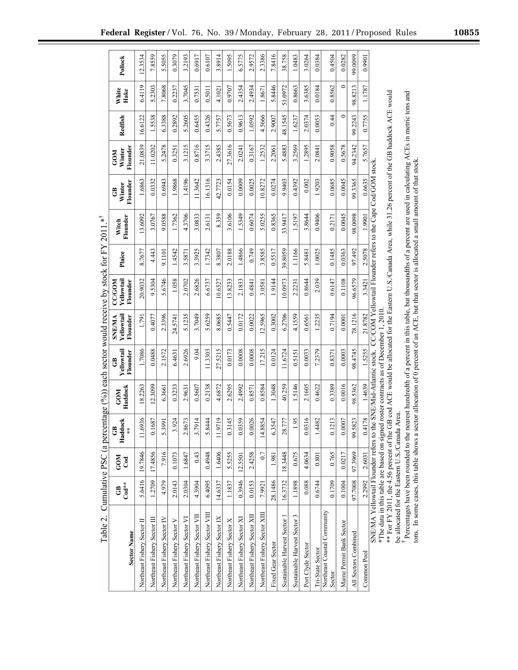| Table 2.                                                                                                                                                                                                              | Cumulative PSC (a per             |                          |                                               |                       |                                                  |                                         | centage $(%)$ ) each sector would receive by stock for FY 2011 |         | $*$               |                          |                                  |         |               |         |
|-----------------------------------------------------------------------------------------------------------------------------------------------------------------------------------------------------------------------|-----------------------------------|--------------------------|-----------------------------------------------|-----------------------|--------------------------------------------------|-----------------------------------------|----------------------------------------------------------------|---------|-------------------|--------------------------|----------------------------------|---------|---------------|---------|
| <b>Sector Name</b>                                                                                                                                                                                                    | $\mathrm{Cod}^{\star\star}$<br>සි | <b>GOM</b><br><b>Cod</b> | Haddock<br>$\tilde{c}$<br>$\frac{1}{\lambda}$ | Haddock<br><b>GOM</b> | Yellowtail<br>Flounder<br>$\ddot{\ddot{\sigma}}$ | Yellowtail<br><b>SNE/MA</b><br>Flounder | Yellowtail<br><b>NOD/22</b><br>Flounder                        | Plaice  | Flounder<br>Witch | Flounder<br>Winter<br>පී | Flounder<br>Winter<br><b>COM</b> | Redfish | White<br>Hake | Pollock |
| Northeast Fishery Sector II                                                                                                                                                                                           | 5.6416                            | 19.7846                  | .6936                                         | 18.2263               | 1.7086                                           | 1.791                                   | 20.9032                                                        | 8.7677  | 13.6092           | 1.6863                   | 21.0839                          | 16.6122 | 6.4119        | 12.3534 |
| Northeast Fishery Sector III                                                                                                                                                                                          | 1.2709                            | 17.4856                  | 0.1687                                        | 12.3099               | 0.0488                                           | 0.4077                                  | 9.5304                                                         | 4.443   | 3.0767            | 0.0332                   | 11.0202                          | 1.5538  | 5.2303        | 7.8559  |
| Northeast Fishery Sector IV                                                                                                                                                                                           | 4.979                             | 7.916                    | 5,3991                                        | 6.3661                | 2.1572                                           | 2.3396                                  | 5.6746                                                         | 9.1101  | 9.0588            | 0.6943                   | 5.2478                           | 6.3388  | 7.8068        | 5.5055  |
| Northeast Fishery Sector V                                                                                                                                                                                            | 2.0143                            | 0.1073                   | 3.924                                         | 0.3233                | 6.4631                                           | 24.5741                                 | 1.058                                                          | 1.4542  | 1.7362            | 1.9868                   | 0.3251                           | 0.2892  | 0.2237        | 0.3079  |
| Northeast Fishery Sector VI                                                                                                                                                                                           | 2.0304                            | 1.6847                   | 2.8673                                        | 2.9631                | 2.6926                                           | 5.1235                                  | 2.0702                                                         | 3.5871  | 4.3706            | 1.4196                   | 3.1215                           | 5.2605  | 3.7045        | 3.2193  |
| Northeast Fishery Sector VII                                                                                                                                                                                          | 4.3904                            | 0.43                     | .7914                                         | 0.5607                | 9.04                                             | 3.7049                                  | 2.6826                                                         | 3.3925  | 3.0833            | 11.3642                  | 0.8716                           | 0.6455  | 0.7531        | 0.6917  |
| Northeast Fishery Sector VIII                                                                                                                                                                                         | 6.4095                            | 0.4948                   | .8444                                         | 0.2138                | 11.3303                                          | 5.6259                                  | 6.6737                                                         | 1.7342  | 2.6131            | 16.1316                  | 3.3715                           | 0.4326  | 0.5011        | 0.6107  |
| Northeast Fishery Sector IX                                                                                                                                                                                           | 14.6337                           | 1.6406                   | 9719                                          | 4.6872                | 27.5215                                          | 8.0685                                  | 10.6527                                                        | 8.3807  | 8.359             | 42.7723                  | 2.4385                           | 5.7757  | 4.1021        | 3.8914  |
| Northeast Fishery Sector X                                                                                                                                                                                            | 1.1837                            | 5.5255                   | .3145                                         | 2.6295                | 0.0173                                           | 0.5447                                  | 13.8233                                                        | 2.0188  | 3.6106            | 0.0154                   | 27.3616                          | 0.5673  | 0.9707        | 1.5095  |
| Northeast Fishery Sector XI                                                                                                                                                                                           | 0.3946                            | 12.5501                  | 1.0359                                        | 2.4992                | 0.0008                                           | 0.0172                                  | 2.1833                                                         | 1.4866  | 1.5349            | 0.0009                   | 2.0241                           | 0.9613  | 2.4354        | 6.5775  |
| Northeast Fishery Sector XII                                                                                                                                                                                          | 0.0153                            | 2.4258                   | 0.0026                                        | 0.8571                | 0.0008                                           | 0.0022                                  | 0.4841                                                         | 0.749   | 0.6074            | 0.0025                   | 0.3167                           | 1.0592  | 2.4934        | 2.9572  |
| Northeast Fishery Sector XIII                                                                                                                                                                                         | 7.9921                            | 0.7                      | 1.8854<br>$\bar{z}$                           | 0.8584                | 17.215                                           | 12.5965                                 | 3.0581                                                         | 3.8585  | 5.0255            | 10.8272                  | 1.2532                           | 4.5666  | 1.8671        | 2.3386  |
| Fixed Gear Sector                                                                                                                                                                                                     | 28.1486                           | 1.981                    | 6.3547                                        | 1.3048                | 0.0124                                           | 0.3002                                  | 1.9144                                                         | 0.5517  | 0.8365            | 0.0274                   | 2.2061                           | 2.9007  | 5.8446        | 7.8416  |
| Sustainable Harvest Sector 1                                                                                                                                                                                          | 16.3732                           | 8.3448                   | 28.777                                        | 40.259                | 11.6724                                          | 6.2706                                  | 10.0973                                                        | 39.8059 | 33.9417           | 9.9403                   | 5.4883                           | 48.1545 | 51.0972       | 38.758  |
| Sustainable Harvest Sector 3                                                                                                                                                                                          | 1.1898                            | 0.675                    | 1.95                                          | 1.5146                | 0.5151                                           | 4.1559                                  | 2.2231                                                         | 1.1166  | 1.5197            | 0.4392                   | 3.2569                           | 1.6237  | 0.8663        | 1.0483  |
| Port Clyde Sector                                                                                                                                                                                                     | 0.088                             | 4.0634                   | .0316                                         | 2.1605                | 0.0033                                           | 0.6561                                  | 0.8644                                                         | 5.8481  | 3.8644            | 0.002                    | 1.2895                           | 2.0374  | 3.6385        | 3.0264  |
| Tri-State Sector                                                                                                                                                                                                      | 0.6744                            | 0.801                    | .4482                                         | 0.4622                | 7.2379                                           | 1.2235                                  | 2.039                                                          | 1.0025  | 0.9406            | 1.9203                   | 2.0841                           | 0.0053  | 0.0184        | 0.0384  |
| Northeast Coastal Community<br>Sector                                                                                                                                                                                 | 0.1709                            | 0.765                    | 0.1213                                        | 0.3389                | 0.8371                                           | 0.7194                                  | 0.6147                                                         | 0.1485  | 0.2171            | 0.0685                   | 0.9058                           | 0.44    | 0.8562        | 0.4504  |
| Maine Permit Bank Sector                                                                                                                                                                                              | 0.1004                            | 0.0217                   | 1,0007                                        | 0.0016                | 0.0003                                           | 0.0001                                  | 0.1108                                                         | 0.0363  | 0.0045            | 0.0045                   | 0.5678                           | 0       | 0             | 0.0282  |
| All Sectors Combined                                                                                                                                                                                                  | 8007.76                           | 97.3969                  | 99.5823                                       | 98.5362               | 98.4745                                          | 78.1216                                 | 96.6579                                                        | 97.492  | 98.0098           | 99.3365                  | 94.2342                          | 99.2243 | 98.8213       | 99.0099 |
| Common Pool                                                                                                                                                                                                           | 2.2992                            | 2.6031                   | 14178                                         | 1.4639                | 1.5255                                           | 21.8782                                 | 3.3421                                                         | 2.5078  | 1.9901            | 0.6635                   | 5.7657                           | 0.7755  | 1.1787        | 0.9901  |
| SNE/MA Yellowtail Flounder refers to the SNE/Mid-Atlantic stock. CC/COM Yellowtail Flounder refers to the Cape Cod/GOM stock.<br>*The data in this table are based on signed roster contracts as of December 1, 2010. |                                   |                          |                                               |                       |                                                  |                                         |                                                                |         |                   |                          |                                  |         |               |         |
| $\ddot{\phantom{0}}$                                                                                                                                                                                                  |                                   |                          |                                               |                       |                                                  |                                         |                                                                |         |                   |                          |                                  |         |               |         |

\*\* For FY 2011, the 4.56 percent of the GB cod ACE would be allocated for the Eastern U.S./Canada Area, while 31.26 percent of the GB haddock ACE would<br>be allocated for the Eastern U.S./Canada Area.

<sup>1</sup> Percentages have been rounded to the nearest hundredth of a percent in this table, but thousandths of a percent are used in calculating ACEs in metric tons and tons. In some cases, this table shows a sector allocation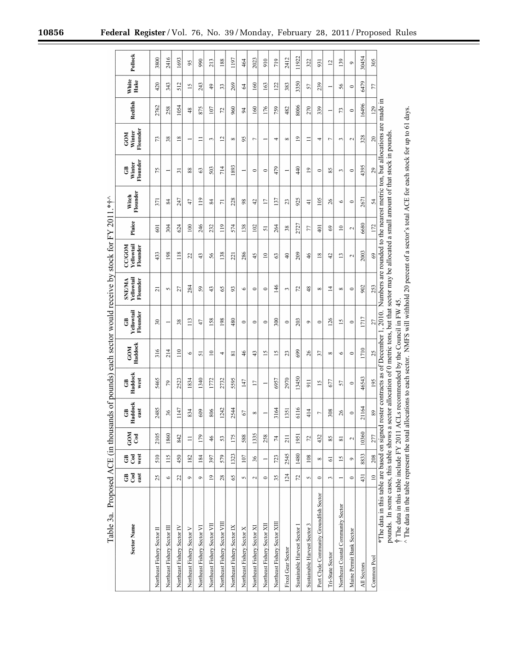| Table 3a. Proposed ACE (in thou                                                                                                                                 |                 |                             |                   |                       |                       |                         |                                          |                                         | sands of pounds) each sector would receive by stock for FY 2011.* $\ddot{}$                                         |                          |                   |                          |                                  |                |                 |                  |
|-----------------------------------------------------------------------------------------------------------------------------------------------------------------|-----------------|-----------------------------|-------------------|-----------------------|-----------------------|-------------------------|------------------------------------------|-----------------------------------------|---------------------------------------------------------------------------------------------------------------------|--------------------------|-------------------|--------------------------|----------------------------------|----------------|-----------------|------------------|
| <b>Sector Name</b>                                                                                                                                              | ចិ ទី<br>east   | west<br>$_{\rm{Cod}}$<br>පී | <b>GOM</b><br>Cod | Haddock<br>east<br>පි | Haddock<br>west<br>පී | Haddock<br><b>COM</b>   | Yellowtail<br>Flounder<br>පී             | Yellowtail<br><b>SNE/MA</b><br>Flounder | Yellowtail<br><b>CC/GOM</b><br><b>Flounder</b>                                                                      | Plaice                   | Flounder<br>Witch | Flounder<br>Winter<br>පී | Flounder<br>Winter<br><b>COM</b> | Redfish        | White<br>Hake   | Pollock          |
| Northeast Fishery Sector II                                                                                                                                     | 25              | 510                         | 2105              | 2485                  | 5465                  | 316                     | $\overline{30}$                          | ಸ                                       | 433                                                                                                                 | 601                      | 371               | 75                       | 13                               | 2762           | 420             | 3800             |
| Northeast Fishery Sector III                                                                                                                                    | $\circ$         | $\frac{15}{2}$              | 1860              | 36                    | $\mathcal{L}$         | 214                     |                                          | S                                       | 198                                                                                                                 | 304                      | 84                |                          | 38                               | 258            | 343             | 2416             |
| Northeast Fishery Sector IV                                                                                                                                     | 22              | 450                         | 842               | 1147                  | 2523                  | $\frac{1}{2}$           | 38                                       | 27                                      | 118                                                                                                                 | 624                      | 247               | ಸ                        | $\frac{8}{18}$                   | 1054           | 512             | 1693             |
| Northeast Fishery Sector V                                                                                                                                      | $\circ$         | 182                         | $\equiv$          | 834                   | 1834                  | $\circ$                 | 113                                      | 284                                     | $\overline{c}$                                                                                                      | 100                      | 47                | 88                       |                                  | 48             | $\overline{15}$ | $\mathfrak{g}_0$ |
| Northeast Fishery Sector VI                                                                                                                                     | $\circ$         | 184                         | 179               | 609                   | 1340                  | 51                      | 47                                       | 59                                      | $\frac{4}{3}$                                                                                                       | 246                      | $\frac{1}{2}$     | 63                       | Ξ                                | 875            | 243             | 990              |
| Northeast Fishery Sector VII                                                                                                                                    | $\overline{19}$ | 397                         | 46                | 806                   | 1772                  | $\supseteq$             | 58                                       | 43                                      | 56                                                                                                                  | 232                      | 84                | 503                      | 3                                | 107            | $\frac{4}{9}$   | 213              |
| Northeast Fishery Sector VIII                                                                                                                                   | 28              | 579                         | 53                | 1242                  | 2732                  | 4                       | 198                                      | $\mathcal{S}$                           | 138                                                                                                                 | 119                      | $\overline{7}$    | 714                      | $\overline{c}$                   | 72             | 33              | 188              |
| Northeast Fishery Sector IX                                                                                                                                     | $\mathcal{S}$   | 1323                        | 175               | 2544                  | 5595                  | $\overline{\mathbf{s}}$ | 480                                      | 93                                      | 221                                                                                                                 | 574                      | 228               | 1893                     | $^{\circ}$                       | 960            | 269             | 1197             |
| Northeast Fishery Sector X                                                                                                                                      | $\sim$          | 107                         | 588               | 67                    | 147                   | 46                      | $\circ$                                  | $\circ$                                 | 286                                                                                                                 | 138                      | $\frac{8}{2}$     |                          | 95                               | $\overline{5}$ | 2               | 464              |
| Northeast Fishery Sector XI                                                                                                                                     | $\sim$          | 36                          | 1335              | $\infty$              | $\overline{17}$       | 43                      | $\circ$                                  | $\circ$                                 | 45                                                                                                                  | 102                      | $\ddot{ }$        | $\circ$                  | Γ                                | 160            | 160             | 2023             |
| Northeast Fishery Sector XII                                                                                                                                    | $\circ$         |                             | 258               |                       |                       | $\overline{15}$         | $\circ$                                  | $\circ$                                 | $\approx$                                                                                                           | 5                        | $\overline{1}$    | $\circ$                  |                                  | 176            | 163             | 910              |
| Northeast Fishery Sector XIII                                                                                                                                   | 35              | 723                         | 74                | 3164                  | 6957                  | $\overline{5}$          | 300                                      | 146                                     | S                                                                                                                   | 264                      | 137               | 479                      | 4                                | 759            | 122             | 719              |
| Fixed Gear Sector                                                                                                                                               | 124             | 2545                        | 211               | 1351                  | 2970                  | $\mathfrak{L}$          | $\circ$                                  | 3                                       | $\frac{1}{2}$                                                                                                       | 38                       | 23                |                          | $\infty$                         | 482            | 383             | 2412             |
| Sustainable Harvest Sector 1                                                                                                                                    | 72              | 1480                        | 1951              | 6116                  | 13450                 | 699                     | 203                                      | 72                                      | 209                                                                                                                 | 2727                     | 925               | 440                      | $\mathbf{r}$                     | 8006           | 3350            | 11922            |
| Sustainable Harvest Sector 3                                                                                                                                    | S               | 108                         | 72                | 414                   | $\overline{5}$        | 26                      | ۰                                        | 48                                      | 46                                                                                                                  | 77                       | $\overline{4}$    | $\overline{19}$          | Ξ                                | 270            | 57              | 322              |
| Port Clyde Community Groundfish Sector                                                                                                                          | $\circ$         | $\infty$                    | 432               | r.                    | 51                    | 57                      | $\circ$                                  | $\infty$                                | $\overline{18}$                                                                                                     | 401                      | 105               | $\circ$                  | 4                                | 339            | 239             | 931              |
| Tri-State Sector                                                                                                                                                | ω               | 5                           | 85                | 308                   | 677                   | $\infty$                | 126                                      | 4                                       | 42                                                                                                                  | 69                       | 26                | 85                       | ⊢                                |                |                 | 12               |
| Northeast Coastal Community Sector                                                                                                                              |                 | $\overline{15}$             |                   | 26                    | 57                    | $\circ$                 | $\overline{15}$                          | $\infty$                                | 13                                                                                                                  | $\supseteq$              | $\circ$           | ω                        | 3                                | 73             | 56              | 139              |
| Maine Permit Bank Sector                                                                                                                                        | $\circ$         | $\circ$                     | $\sim$            | $\circ$               | $\circ$               | $\circ$                 | $\circ$                                  | $\circ$                                 | $\mathbf{\sim}$                                                                                                     | $\overline{\mathcal{L}}$ | $\circ$           | $\circ$                  | $\mathbf{\Omega}$                | $\circ$        | $\circ$         | $\circ$          |
| All Sectors                                                                                                                                                     | 431             | 8833                        | 10360             | 21164                 | 46543                 | 1710                    | 1717                                     | 902                                     | 2003                                                                                                                | 6680                     | 2671              | 4395                     | 328                              | 16496          | 6479            | 30454            |
| Common Pool                                                                                                                                                     | $\frac{1}{2}$   | 208                         | 277               | 89                    | 195                   | 25                      | 27                                       | 253                                     | 69                                                                                                                  | 172                      | 54                | 29                       | $\overline{20}$                  | 129            | 77              | 305              |
| *The data in this table are based on signed roster contracts as of December 1, 2010. Numbers are rounded to the nearest metric ton, but allocations are made in |                 |                             |                   |                       |                       |                         |                                          |                                         |                                                                                                                     |                          |                   |                          |                                  |                |                 |                  |
| pounds. In some cases, this table shows a sector allocation of 0 metric tons, but that sector may be allocated a small amount of that stock in pounds.          |                 |                             |                   |                       |                       |                         |                                          |                                         |                                                                                                                     |                          |                   |                          |                                  |                |                 |                  |
| † The data in this table include FY 2011                                                                                                                        |                 |                             |                   |                       |                       |                         | ACLs recommended by the Council in FW 45 |                                         |                                                                                                                     |                          |                   |                          |                                  |                |                 |                  |
| $^\wedge$ The data in the table represent the total                                                                                                             |                 |                             |                   |                       |                       |                         |                                          |                                         | allocations to each sector. NMFS will withhold 20 percent of a sector's total ACE for each stock for up to 61 days. |                          |                   |                          |                                  |                |                 |                  |

 $\frac{1}{2}$ ÷,  $\ddot{ }$ L, ं  $\lambda$   $C\Gamma$  $\ddot{\phantom{0}}$ é  $\epsilon$ 

۳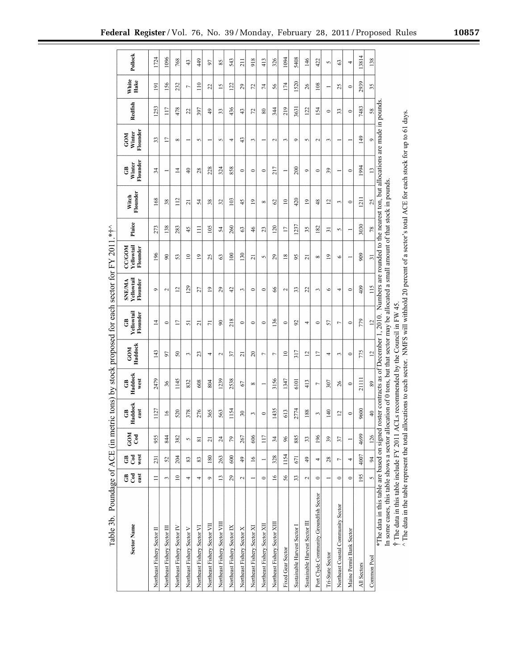| <b>Sector Name</b>                                                                                                                           | පී දී<br>east         | west<br>$_{\rm{Cod}}$<br>පී | <b>NO2</b><br><b>Cod</b> | Haddock<br>පී<br>east   | Haddock<br>west<br>පී | Haddock<br><b>GOM</b> | Yellowtail<br>Flounder<br>පී                                                                                         | Yellowtail<br>Flounder<br><b>SNE/MA</b> | Yellowtail<br><b>CC/GOM</b><br>Flounder | Plaice                   | Flounder<br>Witch | Flounder<br>Winter<br>පී | Flounder<br>Winter<br><b>GOM</b> | Redfish       | White<br>Hake   | Pollock        |
|----------------------------------------------------------------------------------------------------------------------------------------------|-----------------------|-----------------------------|--------------------------|-------------------------|-----------------------|-----------------------|----------------------------------------------------------------------------------------------------------------------|-----------------------------------------|-----------------------------------------|--------------------------|-------------------|--------------------------|----------------------------------|---------------|-----------------|----------------|
| Northeast Fishery Sector II                                                                                                                  | Ξ                     | 231                         | 955                      | 1127                    | 2479                  | 143                   | 4                                                                                                                    | $\circ$                                 | 196                                     | 273                      | 168               | $\overline{34}$          | 33                               | 1253          | $\overline{5}$  | 1724           |
| Northeast Fishery Sector III                                                                                                                 | $\tilde{\phantom{a}}$ | 25                          | 844                      | $\geq$                  | 36                    | 57                    | $\circ$                                                                                                              | $\sim$                                  | $\infty$                                | 138                      | 38                |                          | Ē                                | 117           | 56              | 1096           |
| Northeast Fishery Sector IV                                                                                                                  | $\approx$             | 204                         | 382                      | 520                     | 1145                  | $\overline{50}$       | Ε                                                                                                                    | $\overline{c}$                          | 53                                      | 283                      | 112               | 4                        | $\infty$                         | 478           | 232             | 768            |
| Northeast Fishery Sector V                                                                                                                   | 4                     | 83                          | $\sim$                   | 378                     | 832                   | $\sim$                | 51                                                                                                                   | 129                                     | $\approx$                               | 45                       | ត                 | $\overline{a}$           |                                  | 22            | r               | 43             |
| Northeast Fishery Sector VI                                                                                                                  | 4                     | 83                          | $\overline{\mathbf{s}}$  | 276                     | 608                   | ష                     | ಸ                                                                                                                    | 27                                      | $\overline{0}$                          | $\Xi$                    | 54                | 28                       | 5                                | 397           | $\frac{1}{10}$  | 449            |
| Northeast Fishery Sector VII                                                                                                                 | $\circ$               | 180                         | $\overline{z}$           | 365                     | 804                   | 4                     | Ε                                                                                                                    | $\overline{0}$                          | 25                                      | 105                      | 38                | 228                      |                                  | 49            | 22              | 5              |
| Northeast Fishery Sector VIII                                                                                                                | $\overline{1}$        | 263                         | 24                       | 563                     | 1239                  | $\mathbf{\sim}$       | $\boldsymbol{\mathcal{S}}$                                                                                           | 29                                      | 63                                      | 54                       | 32                | 324                      | 5                                | 33            | $\overline{15}$ | 85             |
| Northeast Fishery Sector IX                                                                                                                  | 29                    | 600                         | 79                       | 1154                    | 2538                  | 57                    | 218                                                                                                                  | $\ddot{ }$                              | 100                                     | 260                      | 103               | 858                      | 4                                | 436           | 122             | 543            |
| Northeast Fishery Sector X                                                                                                                   | $\sim$                | $\frac{9}{4}$               | 267                      | $\overline{30}$         | 67                    | ត                     | $\circ$                                                                                                              | $\mathfrak{g}$                          | 130                                     | 3                        | 45                | $\circ$                  | $\frac{4}{3}$                    | $\frac{4}{3}$ | 29              | 211            |
| Northeast Fishery Sector XI                                                                                                                  |                       | $\frac{6}{2}$               | 606                      | $\sim$                  | $\infty$              | $\Omega$              | $\circ$                                                                                                              | $\circ$                                 | $\overline{z}$                          | 46                       | $\overline{0}$    | $\circ$                  | $\mathfrak{g}$                   | 52            | 72              | 918            |
| Northeast Fishery Sector XII                                                                                                                 | $\circ$               |                             | 117                      | $\circ$                 |                       | r                     | $\circ$                                                                                                              | $\circ$                                 | 5                                       | 23                       | $\infty$          | $\circ$                  |                                  | 80            | $\overline{7}$  | 413            |
| Northeast Fishery Sector XIII                                                                                                                | $\overline{16}$       | 328                         | 34                       | 1435                    | 3156                  | r,                    | 136                                                                                                                  | 66                                      | 29                                      | 120                      | $\mathcal{O}$     | 217                      | $\mathbf{\Omega}$                | 344           | 56              | 326            |
| Fixed Gear Sector                                                                                                                            | 56                    | 1154                        | 96                       | 613                     | 1347                  | $\approx$             | $\circ$                                                                                                              | $\mathbf{\sim}$                         | $\frac{8}{2}$                           | E                        | $\overline{10}$   |                          | 3                                | 219           | 174             | 1094           |
| Sustainable Harvest Sector I                                                                                                                 | 33                    | 671                         | 885                      | 2774                    | 6101                  | 317                   | $\mathfrak{D}$                                                                                                       | 33                                      | 95                                      | 1237                     | 420               | 200                      | $\circ$                          | 3631          | 1520            | 5408           |
| Sustainable Harvest Sector III                                                                                                               | $\mathbf{\Omega}$     | 49                          | 33                       | 188                     | 413                   | $\overline{c}$        | 4                                                                                                                    | $\overline{c}$                          | ಸ                                       | 35                       | $\overline{0}$    | $\circ$                  | 5                                | 122           | 26              | $\frac{46}{5}$ |
| Port Clyde Community Groundfish Sector                                                                                                       | $\circ$               | 4                           | 196                      | $\sim$                  | r.                    | Ε                     | $\circ$                                                                                                              | $\mathfrak{g}$                          | ${}^{\circ}$                            | $\overline{\mathcal{S}}$ | 48                | $\circ$                  | $\mathbf{\sim}$                  | 154           | 108             | 422            |
| Tri-State Sector                                                                                                                             |                       | 28                          | 39                       | $\frac{40}{5}$          | 507                   | 4                     | 57                                                                                                                   | ७                                       | $\overline{1}$                          | ಸ                        | $\overline{c}$    | 39                       | $\epsilon$                       | $\circ$       |                 | 5              |
| Northeast Coastal Community Sector                                                                                                           | $\circ$               | L                           | 37                       | $\overline{\mathbf{c}}$ | 26                    | $\sim$                | r                                                                                                                    | 4                                       | $\circ$                                 | $\sim$                   | $\sim$            |                          |                                  | 33            | 25              | $\mathcal{C}$  |
| Maine Permit Bank Sector                                                                                                                     | $\circ$               | 4                           |                          | $\circ$                 | $\circ$               | $\circ$               | $\circ$                                                                                                              | $\circ$                                 |                                         |                          | $\circ$           | $\circ$                  |                                  | $\circ$       | $\circ$         | 4              |
| All Sectors                                                                                                                                  | 195                   | 4007                        | 4699                     | 9600                    | 21111                 | 775                   | 779                                                                                                                  | 409                                     | 909                                     | 3030                     | $\overline{211}$  | 1994                     | 149                              | 7483          | 2939            | 13814          |
| Common Pool                                                                                                                                  | $\overline{2}$        | $\overline{6}$              | 126                      | $\frac{1}{4}$           | 89                    | $\overline{a}$        | $\overline{c}$                                                                                                       | 115                                     | $\overline{31}$                         | 78                       | 25                | $\overline{13}$          | o                                | 58            | 35              | 138            |
| *The data in this table are based on signed                                                                                                  |                       |                             |                          |                         |                       |                       | roster contracts as of December 1, 2010. Numbers are rounded to the nearest ton, but allocations are made in pounds. |                                         |                                         |                          |                   |                          |                                  |               |                 |                |
| In some cases, this table shows a sector allocation of 0 tons, but that sector may be allocated a small amount of that stock in pounds.<br>ļ |                       |                             |                          |                         |                       |                       |                                                                                                                      |                                         |                                         |                          |                   |                          |                                  |               |                 |                |

Table 3b. Poundage of ACE (in metric tons) by stock proposed for each sector for FY 2011.\*<sup>†^</sup>

† The data in this table include FY 2011 ACLs recommended by the Council in FW 45.<br>^ The data in the table represent the total allocations to each sector. NMFS will withhold 20 percent of a sector's total ACE for each sto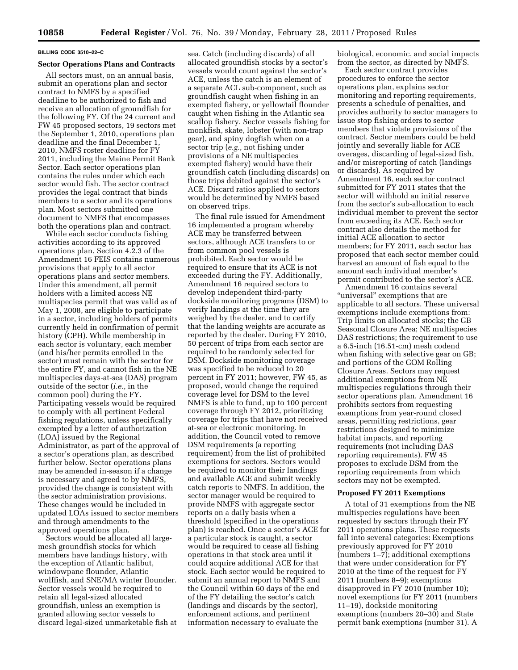# **BILLING CODE 3510–22–C**

#### **Sector Operations Plans and Contracts**

All sectors must, on an annual basis, submit an operations plan and sector contract to NMFS by a specified deadline to be authorized to fish and receive an allocation of groundfish for the following FY. Of the 24 current and FW 45 proposed sectors, 19 sectors met the September 1, 2010, operations plan deadline and the final December 1, 2010, NMFS roster deadline for FY 2011, including the Maine Permit Bank Sector. Each sector operations plan contains the rules under which each sector would fish. The sector contract provides the legal contract that binds members to a sector and its operations plan. Most sectors submitted one document to NMFS that encompasses both the operations plan and contract.

While each sector conducts fishing activities according to its approved operations plan, Section 4.2.3 of the Amendment 16 FEIS contains numerous provisions that apply to all sector operations plans and sector members. Under this amendment, all permit holders with a limited access NE multispecies permit that was valid as of May 1, 2008, are eligible to participate in a sector, including holders of permits currently held in confirmation of permit history (CPH). While membership in each sector is voluntary, each member (and his/her permits enrolled in the sector) must remain with the sector for the entire FY, and cannot fish in the NE multispecies days-at-sea (DAS) program outside of the sector (*i.e.,* in the common pool) during the FY. Participating vessels would be required to comply with all pertinent Federal fishing regulations, unless specifically exempted by a letter of authorization (LOA) issued by the Regional Administrator, as part of the approval of a sector's operations plan, as described further below. Sector operations plans may be amended in-season if a change is necessary and agreed to by NMFS, provided the change is consistent with the sector administration provisions. These changes would be included in updated LOAs issued to sector members and through amendments to the approved operations plan.

Sectors would be allocated all largemesh groundfish stocks for which members have landings history, with the exception of Atlantic halibut, windowpane flounder, Atlantic wolffish, and SNE/MA winter flounder. Sector vessels would be required to retain all legal-sized allocated groundfish, unless an exemption is granted allowing sector vessels to discard legal-sized unmarketable fish at

sea. Catch (including discards) of all allocated groundfish stocks by a sector's vessels would count against the sector's ACE, unless the catch is an element of a separate ACL sub-component, such as groundfish caught when fishing in an exempted fishery, or yellowtail flounder caught when fishing in the Atlantic sea scallop fishery. Sector vessels fishing for monkfish, skate, lobster (with non-trap gear), and spiny dogfish when on a sector trip (*e.g.,* not fishing under provisions of a NE multispecies exempted fishery) would have their groundfish catch (including discards) on those trips debited against the sector's ACE. Discard ratios applied to sectors would be determined by NMFS based on observed trips.

The final rule issued for Amendment 16 implemented a program whereby ACE may be transferred between sectors, although ACE transfers to or from common pool vessels is prohibited. Each sector would be required to ensure that its ACE is not exceeded during the FY. Additionally, Amendment 16 required sectors to develop independent third-party dockside monitoring programs (DSM) to verify landings at the time they are weighed by the dealer, and to certify that the landing weights are accurate as reported by the dealer. During FY 2010, 50 percent of trips from each sector are required to be randomly selected for DSM. Dockside monitoring coverage was specified to be reduced to 20 percent in FY 2011; however, FW 45, as proposed, would change the required coverage level for DSM to the level NMFS is able to fund, up to 100 percent coverage through FY 2012, prioritizing coverage for trips that have not received at-sea or electronic monitoring. In addition, the Council voted to remove DSM requirements (a reporting requirement) from the list of prohibited exemptions for sectors. Sectors would be required to monitor their landings and available ACE and submit weekly catch reports to NMFS. In addition, the sector manager would be required to provide NMFS with aggregate sector reports on a daily basis when a threshold (specified in the operations plan) is reached. Once a sector's ACE for a particular stock is caught, a sector would be required to cease all fishing operations in that stock area until it could acquire additional ACE for that stock. Each sector would be required to submit an annual report to NMFS and the Council within 60 days of the end of the FY detailing the sector's catch (landings and discards by the sector), enforcement actions, and pertinent information necessary to evaluate the

biological, economic, and social impacts from the sector, as directed by NMFS.

Each sector contract provides procedures to enforce the sector operations plan, explains sector monitoring and reporting requirements, presents a schedule of penalties, and provides authority to sector managers to issue stop fishing orders to sector members that violate provisions of the contract. Sector members could be held jointly and severally liable for ACE overages, discarding of legal-sized fish, and/or misreporting of catch (landings or discards). As required by Amendment 16, each sector contract submitted for FY 2011 states that the sector will withhold an initial reserve from the sector's sub-allocation to each individual member to prevent the sector from exceeding its ACE. Each sector contract also details the method for initial ACE allocation to sector members; for FY 2011, each sector has proposed that each sector member could harvest an amount of fish equal to the amount each individual member's permit contributed to the sector's ACE.

Amendment 16 contains several "universal" exemptions that are applicable to all sectors. These universal exemptions include exemptions from: Trip limits on allocated stocks; the GB Seasonal Closure Area; NE multispecies DAS restrictions; the requirement to use a 6.5-inch (16.51-cm) mesh codend when fishing with selective gear on GB; and portions of the GOM Rolling Closure Areas. Sectors may request additional exemptions from NE multispecies regulations through their sector operations plan. Amendment 16 prohibits sectors from requesting exemptions from year-round closed areas, permitting restrictions, gear restrictions designed to minimize habitat impacts, and reporting requirements (not including DAS reporting requirements). FW 45 proposes to exclude DSM from the reporting requirements from which sectors may not be exempted.

#### **Proposed FY 2011 Exemptions**

A total of 31 exemptions from the NE multispecies regulations have been requested by sectors through their FY 2011 operations plans. These requests fall into several categories: Exemptions previously approved for FY 2010 (numbers 1–7); additional exemptions that were under consideration for FY 2010 at the time of the request for FY 2011 (numbers 8–9); exemptions disapproved in FY 2010 (number 10); novel exemptions for FY 2011 (numbers 11–19), dockside monitoring exemptions (numbers 20–30) and State permit bank exemptions (number 31). A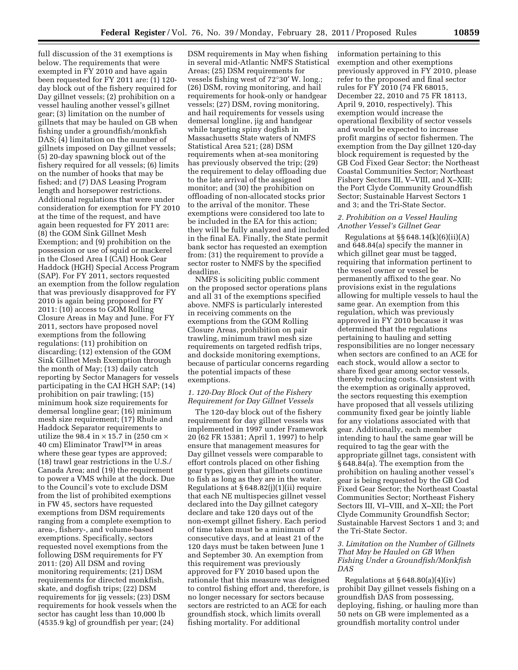full discussion of the 31 exemptions is below. The requirements that were exempted in FY 2010 and have again been requested for FY 2011 are: (1) 120 day block out of the fishery required for Day gillnet vessels; (2) prohibition on a vessel hauling another vessel's gillnet gear; (3) limitation on the number of gillnets that may be hauled on GB when fishing under a groundfish/monkfish DAS; (4) limitation on the number of gillnets imposed on Day gillnet vessels; (5) 20-day spawning block out of the fishery required for all vessels; (6) limits on the number of hooks that may be fished; and (7) DAS Leasing Program length and horsepower restrictions. Additional regulations that were under consideration for exemption for FY 2010 at the time of the request, and have again been requested for FY 2011 are: (8) the GOM Sink Gillnet Mesh Exemption; and (9) prohibition on the possession or use of squid or mackerel in the Closed Area I (CAI) Hook Gear Haddock (HGH) Special Access Program (SAP). For FY 2011, sectors requested an exemption from the follow regulation that was previously disapproved for FY 2010 is again being proposed for FY 2011: (10) access to GOM Rolling Closure Areas in May and June. For FY 2011, sectors have proposed novel exemptions from the following regulations: (11) prohibition on discarding; (12) extension of the GOM Sink Gillnet Mesh Exemption through the month of May; (13) daily catch reporting by Sector Managers for vessels participating in the CAI HGH SAP; (14) prohibition on pair trawling; (15) minimum hook size requirements for demersal longline gear; (16) minimum mesh size requirement; (17) Rhule and Haddock Separator requirements to utilize the 98.4 in  $\times$  15.7 in (250 cm  $\times$ 40 cm) Eliminator TrawlTM in areas where these gear types are approved; (18) trawl gear restrictions in the U.S./ Canada Area; and (19) the requirement to power a VMS while at the dock. Due to the Council's vote to exclude DSM from the list of prohibited exemptions in FW 45, sectors have requested exemptions from DSM requirements ranging from a complete exemption to area-, fishery-, and volume-based exemptions. Specifically, sectors requested novel exemptions from the following DSM requirements for FY 2011: (20) All DSM and roving monitoring requirements; (21) DSM requirements for directed monkfish, skate, and dogfish trips; (22) DSM requirements for jig vessels; (23) DSM requirements for hook vessels when the sector has caught less than 10,000 lb (4535.9 kg) of groundfish per year; (24)

DSM requirements in May when fishing in several mid-Atlantic NMFS Statistical Areas; (25) DSM requirements for vessels fishing west of 72°30′ W. long.; (26) DSM, roving monitoring, and hail requirements for hook-only or handgear vessels; (27) DSM, roving monitoring, and hail requirements for vessels using demersal longline, jig and handgear while targeting spiny dogfish in Massachusetts State waters of NMFS Statistical Area 521; (28) DSM requirements when at-sea monitoring has previously observed the trip; (29) the requirement to delay offloading due to the late arrival of the assigned monitor; and (30) the prohibition on offloading of non-allocated stocks prior to the arrival of the monitor. These exemptions were considered too late to be included in the EA for this action; they will be fully analyzed and included in the final EA. Finally, the State permit bank sector has requested an exemption from: (31) the requirement to provide a sector roster to NMFS by the specified deadline.

NMFS is soliciting public comment on the proposed sector operations plans and all 31 of the exemptions specified above. NMFS is particularly interested in receiving comments on the exemptions from the GOM Rolling Closure Areas, prohibition on pair trawling, minimum trawl mesh size requirements on targeted redfish trips, and dockside monitoring exemptions, because of particular concerns regarding the potential impacts of these exemptions.

# *1. 120-Day Block Out of the Fishery Requirement for Day Gillnet Vessels*

The 120-day block out of the fishery requirement for day gillnet vessels was implemented in 1997 under Framework 20 (62 FR 15381; April 1, 1997) to help ensure that management measures for Day gillnet vessels were comparable to effort controls placed on other fishing gear types, given that gillnets continue to fish as long as they are in the water. Regulations at § 648.82(j)(1)(ii) require that each NE multispecies gillnet vessel declared into the Day gillnet category declare and take 120 days out of the non-exempt gillnet fishery. Each period of time taken must be a minimum of 7 consecutive days, and at least 21 of the 120 days must be taken between June 1 and September 30. An exemption from this requirement was previously approved for FY 2010 based upon the rationale that this measure was designed to control fishing effort and, therefore, is no longer necessary for sectors because sectors are restricted to an ACE for each groundfish stock, which limits overall fishing mortality. For additional

information pertaining to this exemption and other exemptions previously approved in FY 2010, please refer to the proposed and final sector rules for FY 2010 (74 FR 68015, December 22, 2010 and 75 FR 18113, April 9, 2010, respectively). This exemption would increase the operational flexibility of sector vessels and would be expected to increase profit margins of sector fishermen. The exemption from the Day gillnet 120-day block requirement is requested by the GB Cod Fixed Gear Sector; the Northeast Coastal Communities Sector; Northeast Fishery Sectors III, V–VIII, and X–XIII; the Port Clyde Community Groundfish Sector; Sustainable Harvest Sectors 1 and 3; and the Tri-State Sector.

### *2. Prohibition on a Vessel Hauling Another Vessel's Gillnet Gear*

Regulations at  $\S$ § 648.14(k)(6)(ii)(A) and 648.84(a) specify the manner in which gillnet gear must be tagged, requiring that information pertinent to the vessel owner or vessel be permanently affixed to the gear. No provisions exist in the regulations allowing for multiple vessels to haul the same gear. An exemption from this regulation, which was previously approved in FY 2010 because it was determined that the regulations pertaining to hauling and setting responsibilities are no longer necessary when sectors are confined to an ACE for each stock, would allow a sector to share fixed gear among sector vessels, thereby reducing costs. Consistent with the exemption as originally approved, the sectors requesting this exemption have proposed that all vessels utilizing community fixed gear be jointly liable for any violations associated with that gear. Additionally, each member intending to haul the same gear will be required to tag the gear with the appropriate gillnet tags, consistent with § 648.84(a). The exemption from the prohibition on hauling another vessel's gear is being requested by the GB Cod Fixed Gear Sector; the Northeast Coastal Communities Sector; Northeast Fishery Sectors III, VI–VIII, and X–XII; the Port Clyde Community Groundfish Sector; Sustainable Harvest Sectors 1 and 3; and the Tri-State Sector.

# *3. Limitation on the Number of Gillnets That May be Hauled on GB When Fishing Under a Groundfish/Monkfish DAS*

Regulations at  $§ 648.80(a)(4)(iv)$ prohibit Day gillnet vessels fishing on a groundfish DAS from possessing, deploying, fishing, or hauling more than 50 nets on GB were implemented as a groundfish mortality control under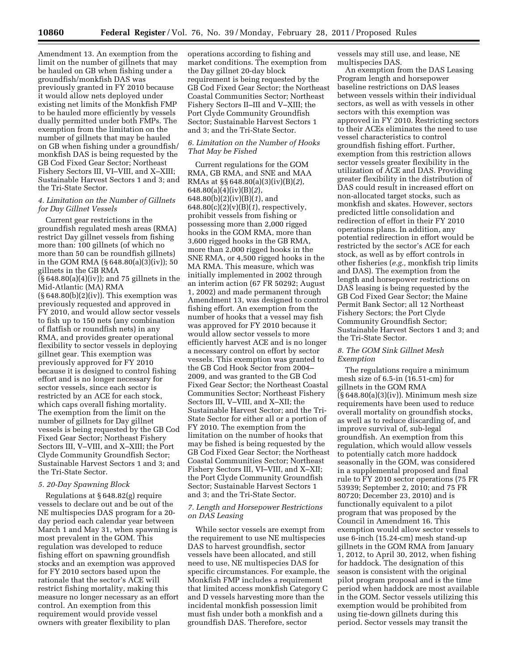Amendment 13. An exemption from the limit on the number of gillnets that may be hauled on GB when fishing under a groundfish/monkfish DAS was previously granted in FY 2010 because it would allow nets deployed under existing net limits of the Monkfish FMP to be hauled more efficiently by vessels dually permitted under both FMPs. The exemption from the limitation on the number of gillnets that may be hauled on GB when fishing under a groundfish/ monkfish DAS is being requested by the GB Cod Fixed Gear Sector; Northeast Fishery Sectors III, VI–VIII, and X–XIII; Sustainable Harvest Sectors 1 and 3; and the Tri-State Sector.

# *4. Limitation on the Number of Gillnets for Day Gillnet Vessels*

Current gear restrictions in the groundfish regulated mesh areas (RMA) restrict Day gillnet vessels from fishing more than: 100 gillnets (of which no more than 50 can be roundfish gillnets) in the GOM RMA (§ 648.80(a)(3)(iv)); 50 gillnets in the GB RMA  $\overline{(\S 648.80(a)(4)(iv))}$ ; and 75 gillnets in the Mid-Atlantic (MA) RMA  $(\S 648.80(b)(2)(iv))$ . This exemption was previously requested and approved in FY 2010, and would allow sector vessels to fish up to 150 nets (any combination of flatfish or roundfish nets) in any RMA, and provides greater operational flexibility to sector vessels in deploying gillnet gear. This exemption was previously approved for FY 2010 because it is designed to control fishing effort and is no longer necessary for sector vessels, since each sector is restricted by an ACE for each stock, which caps overall fishing mortality. The exemption from the limit on the number of gillnets for Day gillnet vessels is being requested by the GB Cod Fixed Gear Sector; Northeast Fishery Sectors III, V–VIII, and X–XIII; the Port Clyde Community Groundfish Sector; Sustainable Harvest Sectors 1 and 3; and the Tri-State Sector.

# *5. 20-Day Spawning Block*

Regulations at § 648.82(g) require vessels to declare out and be out of the NE multispecies DAS program for a 20 day period each calendar year between March 1 and May 31, when spawning is most prevalent in the GOM. This regulation was developed to reduce fishing effort on spawning groundfish stocks and an exemption was approved for FY 2010 sectors based upon the rationale that the sector's ACE will restrict fishing mortality, making this measure no longer necessary as an effort control. An exemption from this requirement would provide vessel owners with greater flexibility to plan

operations according to fishing and market conditions. The exemption from the Day gillnet 20-day block requirement is being requested by the GB Cod Fixed Gear Sector; the Northeast Coastal Communities Sector; Northeast Fishery Sectors II–III and V–XIII; the Port Clyde Community Groundfish Sector; Sustainable Harvest Sectors 1 and 3; and the Tri-State Sector.

# *6. Limitation on the Number of Hooks That May be Fished*

Current regulations for the GOM RMA, GB RMA, and SNE and MAA RMAs at §§ 648.80(a)(3)(iv)(B)(*2*), 648.80(a)(4)(iv)(B)(*2*), 648.80(b)(2)(iv)(B)(*1*), and 648.80(c)(2)(v)(B)(*1*), respectively, prohibit vessels from fishing or possessing more than 2,000 rigged hooks in the GOM RMA, more than 3,600 rigged hooks in the GB RMA, more than 2,000 rigged hooks in the SNE RMA, or 4,500 rigged hooks in the MA RMA. This measure, which was initially implemented in 2002 through an interim action (67 FR 50292; August 1, 2002) and made permanent through Amendment 13, was designed to control fishing effort. An exemption from the number of hooks that a vessel may fish was approved for FY 2010 because it would allow sector vessels to more efficiently harvest ACE and is no longer a necessary control on effort by sector vessels. This exemption was granted to the GB Cod Hook Sector from 2004– 2009, and was granted to the GB Cod Fixed Gear Sector; the Northeast Coastal Communities Sector; Northeast Fishery Sectors III, V–VIII, and X–XII; the Sustainable Harvest Sector; and the Tri-State Sector for either all or a portion of FY 2010. The exemption from the limitation on the number of hooks that may be fished is being requested by the GB Cod Fixed Gear Sector; the Northeast Coastal Communities Sector; Northeast Fishery Sectors III, VI–VIII, and X–XII; the Port Clyde Community Groundfish Sector; Sustainable Harvest Sectors 1 and 3; and the Tri-State Sector.

# *7. Length and Horsepower Restrictions on DAS Leasing*

While sector vessels are exempt from the requirement to use NE multispecies DAS to harvest groundfish, sector vessels have been allocated, and still need to use, NE multispecies DAS for specific circumstances. For example, the Monkfish FMP includes a requirement that limited access monkfish Category C and D vessels harvesting more than the incidental monkfish possession limit must fish under both a monkfish and a groundfish DAS. Therefore, sector

vessels may still use, and lease, NE multispecies DAS.

An exemption from the DAS Leasing Program length and horsepower baseline restrictions on DAS leases between vessels within their individual sectors, as well as with vessels in other sectors with this exemption was approved in FY 2010. Restricting sectors to their ACEs eliminates the need to use vessel characteristics to control groundfish fishing effort. Further, exemption from this restriction allows sector vessels greater flexibility in the utilization of ACE and DAS. Providing greater flexibility in the distribution of DAS could result in increased effort on non-allocated target stocks, such as monkfish and skates. However, sectors predicted little consolidation and redirection of effort in their FY 2010 operations plans. In addition, any potential redirection in effort would be restricted by the sector's ACE for each stock, as well as by effort controls in other fisheries (*e.g.,* monkfish trip limits and DAS). The exemption from the length and horsepower restrictions on DAS leasing is being requested by the GB Cod Fixed Gear Sector; the Maine Permit Bank Sector; all 12 Northeast Fishery Sectors; the Port Clyde Community Groundfish Sector; Sustainable Harvest Sectors 1 and 3; and the Tri-State Sector.

### *8. The GOM Sink Gillnet Mesh Exemption*

The regulations require a minimum mesh size of 6.5-in (16.51-cm) for gillnets in the GOM RMA  $(\S 648.80(a)(3)(iv))$ . Minimum mesh size requirements have been used to reduce overall mortality on groundfish stocks, as well as to reduce discarding of, and improve survival of, sub-legal groundfish. An exemption from this regulation, which would allow vessels to potentially catch more haddock seasonally in the GOM, was considered in a supplemental proposed and final rule to FY 2010 sector operations (75 FR 53939; September 2, 2010; and 75 FR 80720; December 23, 2010) and is functionally equivalent to a pilot program that was proposed by the Council in Amendment 16. This exemption would allow sector vessels to use 6-inch (15.24-cm) mesh stand-up gillnets in the GOM RMA from January 1, 2012, to April 30, 2012, when fishing for haddock. The designation of this season is consistent with the original pilot program proposal and is the time period when haddock are most available in the GOM. Sector vessels utilizing this exemption would be prohibited from using tie-down gillnets during this period. Sector vessels may transit the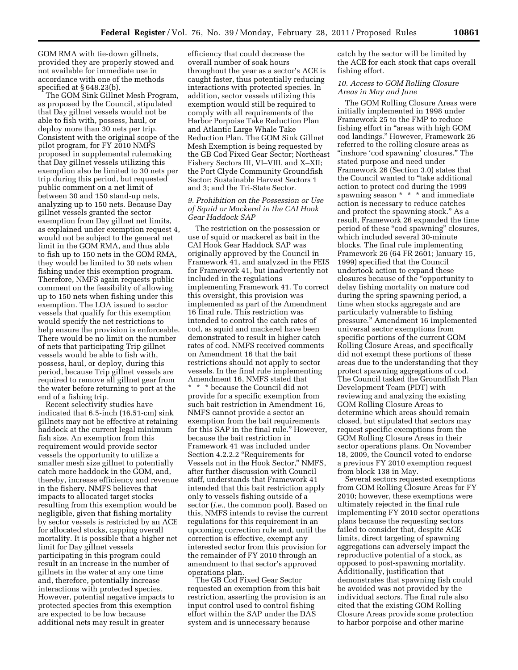GOM RMA with tie-down gillnets, provided they are properly stowed and not available for immediate use in accordance with one of the methods specified at § 648.23(b).

The GOM Sink Gillnet Mesh Program, as proposed by the Council, stipulated that Day gillnet vessels would not be able to fish with, possess, haul, or deploy more than 30 nets per trip. Consistent with the original scope of the pilot program, for FY 2010 NMFS proposed in supplemental rulemaking that Day gillnet vessels utilizing this exemption also be limited to 30 nets per trip during this period, but requested public comment on a net limit of between 30 and 150 stand-up nets, analyzing up to 150 nets. Because Day gillnet vessels granted the sector exemption from Day gillnet net limits, as explained under exemption request 4, would not be subject to the general net limit in the GOM RMA, and thus able to fish up to 150 nets in the GOM RMA, they would be limited to 30 nets when fishing under this exemption program. Therefore, NMFS again requests public comment on the feasibility of allowing up to 150 nets when fishing under this exemption. The LOA issued to sector vessels that qualify for this exemption would specify the net restrictions to help ensure the provision is enforceable. There would be no limit on the number of nets that participating Trip gillnet vessels would be able to fish with, possess, haul, or deploy, during this period, because Trip gillnet vessels are required to remove all gillnet gear from the water before returning to port at the end of a fishing trip.

Recent selectivity studies have indicated that 6.5-inch (16.51-cm) sink gillnets may not be effective at retaining haddock at the current legal minimum fish size. An exemption from this requirement would provide sector vessels the opportunity to utilize a smaller mesh size gillnet to potentially catch more haddock in the GOM, and, thereby, increase efficiency and revenue in the fishery. NMFS believes that impacts to allocated target stocks resulting from this exemption would be negligible, given that fishing mortality by sector vessels is restricted by an ACE for allocated stocks, capping overall mortality. It is possible that a higher net limit for Day gillnet vessels participating in this program could result in an increase in the number of gillnets in the water at any one time and, therefore, potentially increase interactions with protected species. However, potential negative impacts to protected species from this exemption are expected to be low because additional nets may result in greater

efficiency that could decrease the overall number of soak hours throughout the year as a sector's ACE is caught faster, thus potentially reducing interactions with protected species. In addition, sector vessels utilizing this exemption would still be required to comply with all requirements of the Harbor Porpoise Take Reduction Plan and Atlantic Large Whale Take Reduction Plan. The GOM Sink Gillnet Mesh Exemption is being requested by the GB Cod Fixed Gear Sector; Northeast Fishery Sectors III, VI–VIII, and X–XII; the Port Clyde Community Groundfish Sector; Sustainable Harvest Sectors 1 and 3; and the Tri-State Sector.

# *9. Prohibition on the Possession or Use of Squid or Mackerel in the CAI Hook Gear Haddock SAP*

The restriction on the possession or use of squid or mackerel as bait in the CAI Hook Gear Haddock SAP was originally approved by the Council in Framework 41, and analyzed in the FEIS for Framework 41, but inadvertently not included in the regulations implementing Framework 41. To correct this oversight, this provision was implemented as part of the Amendment 16 final rule. This restriction was intended to control the catch rates of cod, as squid and mackerel have been demonstrated to result in higher catch rates of cod. NMFS received comments on Amendment 16 that the bait restrictions should not apply to sector vessels. In the final rule implementing Amendment 16, NMFS stated that \* \* \* because the Council did not provide for a specific exemption from such bait restriction in Amendment 16, NMFS cannot provide a sector an exemption from the bait requirements for this SAP in the final rule.'' However, because the bait restriction in Framework 41 was included under Section 4.2.2.2 ''Requirements for Vessels not in the Hook Sector,'' NMFS, after further discussion with Council staff, understands that Framework 41 intended that this bait restriction apply only to vessels fishing outside of a sector (*i.e.,* the common pool). Based on this, NMFS intends to revise the current regulations for this requirement in an upcoming correction rule and, until the correction is effective, exempt any interested sector from this provision for the remainder of FY 2010 through an amendment to that sector's approved operations plan.

The GB Cod Fixed Gear Sector requested an exemption from this bait restriction, asserting the provision is an input control used to control fishing effort within the SAP under the DAS system and is unnecessary because

catch by the sector will be limited by the ACE for each stock that caps overall fishing effort.

# *10. Access to GOM Rolling Closure Areas in May and June*

The GOM Rolling Closure Areas were initially implemented in 1998 under Framework 25 to the FMP to reduce fishing effort in "areas with high GOM cod landings.'' However, Framework 26 referred to the rolling closure areas as ''inshore 'cod spawning' closures.'' The stated purpose and need under Framework 26 (Section 3.0) states that the Council wanted to ''take additional action to protect cod during the 1999 spawning season \* \* \* and immediate action is necessary to reduce catches and protect the spawning stock.'' As a result, Framework 26 expanded the time period of these "cod spawning" closures, which included several 30-minute blocks. The final rule implementing Framework 26 (64 FR 2601; January 15, 1999) specified that the Council undertook action to expand these closures because of the ''opportunity to delay fishing mortality on mature cod during the spring spawning period, a time when stocks aggregate and are particularly vulnerable to fishing pressure.'' Amendment 16 implemented universal sector exemptions from specific portions of the current GOM Rolling Closure Areas, and specifically did not exempt these portions of these areas due to the understanding that they protect spawning aggregations of cod. The Council tasked the Groundfish Plan Development Team (PDT) with reviewing and analyzing the existing GOM Rolling Closure Areas to determine which areas should remain closed, but stipulated that sectors may request specific exemptions from the GOM Rolling Closure Areas in their sector operations plans. On November 18, 2009, the Council voted to endorse a previous FY 2010 exemption request from block 138 in May.

Several sectors requested exemptions from GOM Rolling Closure Areas for FY 2010; however, these exemptions were ultimately rejected in the final rule implementing FY 2010 sector operations plans because the requesting sectors failed to consider that, despite ACE limits, direct targeting of spawning aggregations can adversely impact the reproductive potential of a stock, as opposed to post-spawning mortality. Additionally, justification that demonstrates that spawning fish could be avoided was not provided by the individual sectors. The final rule also cited that the existing GOM Rolling Closure Areas provide some protection to harbor porpoise and other marine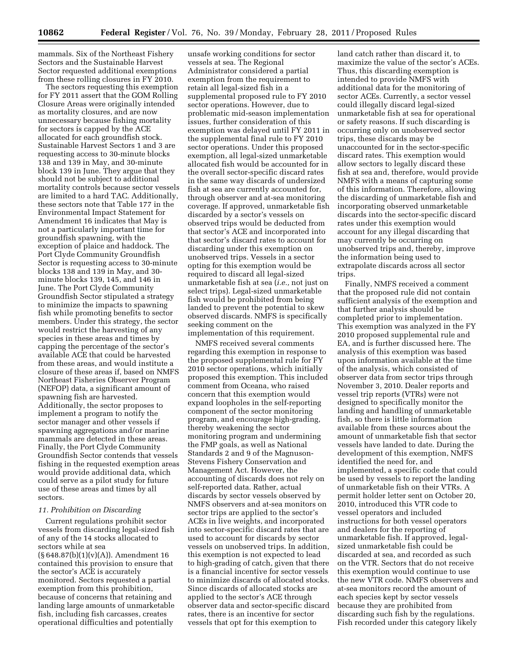mammals. Six of the Northeast Fishery Sectors and the Sustainable Harvest Sector requested additional exemptions from these rolling closures in FY 2010.

The sectors requesting this exemption for FY 2011 assert that the GOM Rolling Closure Areas were originally intended as mortality closures, and are now unnecessary because fishing mortality for sectors is capped by the ACE allocated for each groundfish stock. Sustainable Harvest Sectors 1 and 3 are requesting access to 30-minute blocks 138 and 139 in May, and 30-minute block 139 in June. They argue that they should not be subject to additional mortality controls because sector vessels are limited to a hard TAC. Additionally, these sectors note that Table 177 in the Environmental Impact Statement for Amendment 16 indicates that May is not a particularly important time for groundfish spawning, with the exception of plaice and haddock. The Port Clyde Community Groundfish Sector is requesting access to 30-minute blocks 138 and 139 in May, and 30 minute blocks 139, 145, and 146 in June. The Port Clyde Community Groundfish Sector stipulated a strategy to minimize the impacts to spawning fish while promoting benefits to sector members. Under this strategy, the sector would restrict the harvesting of any species in these areas and times by capping the percentage of the sector's available ACE that could be harvested from these areas, and would institute a closure of these areas if, based on NMFS Northeast Fisheries Observer Program (NEFOP) data, a significant amount of spawning fish are harvested. Additionally, the sector proposes to implement a program to notify the sector manager and other vessels if spawning aggregations and/or marine mammals are detected in these areas. Finally, the Port Clyde Community Groundfish Sector contends that vessels fishing in the requested exemption areas would provide additional data, which could serve as a pilot study for future use of these areas and times by all sectors.

#### *11. Prohibition on Discarding*

Current regulations prohibit sector vessels from discarding legal-sized fish of any of the 14 stocks allocated to sectors while at sea (§ 648.87(b)(1)(v)(A)). Amendment 16 contained this provision to ensure that the sector's ACE is accurately monitored. Sectors requested a partial exemption from this prohibition, because of concerns that retaining and landing large amounts of unmarketable fish, including fish carcasses, creates operational difficulties and potentially

unsafe working conditions for sector vessels at sea. The Regional Administrator considered a partial exemption from the requirement to retain all legal-sized fish in a supplemental proposed rule to FY 2010 sector operations. However, due to problematic mid-season implementation issues, further consideration of this exemption was delayed until FY 2011 in the supplemental final rule to FY 2010 sector operations. Under this proposed exemption, all legal-sized unmarketable allocated fish would be accounted for in the overall sector-specific discard rates in the same way discards of undersized fish at sea are currently accounted for, through observer and at-sea monitoring coverage. If approved, unmarketable fish discarded by a sector's vessels on observed trips would be deducted from that sector's ACE and incorporated into that sector's discard rates to account for discarding under this exemption on unobserved trips. Vessels in a sector opting for this exemption would be required to discard all legal-sized unmarketable fish at sea (*i.e.,* not just on select trips). Legal-sized unmarketable fish would be prohibited from being landed to prevent the potential to skew observed discards. NMFS is specifically seeking comment on the implementation of this requirement.

NMFS received several comments regarding this exemption in response to the proposed supplemental rule for FY 2010 sector operations, which initially proposed this exemption. This included comment from Oceana, who raised concern that this exemption would expand loopholes in the self-reporting component of the sector monitoring program, and encourage high-grading, thereby weakening the sector monitoring program and undermining the FMP goals, as well as National Standards 2 and 9 of the Magnuson-Stevens Fishery Conservation and Management Act. However, the accounting of discards does not rely on self-reported data. Rather, actual discards by sector vessels observed by NMFS observers and at-sea monitors on sector trips are applied to the sector's ACEs in live weights, and incorporated into sector-specific discard rates that are used to account for discards by sector vessels on unobserved trips. In addition, this exemption is not expected to lead to high-grading of catch, given that there is a financial incentive for sector vessels to minimize discards of allocated stocks. Since discards of allocated stocks are applied to the sector's ACE through observer data and sector-specific discard rates, there is an incentive for sector vessels that opt for this exemption to

land catch rather than discard it, to maximize the value of the sector's ACEs. Thus, this discarding exemption is intended to provide NMFS with additional data for the monitoring of sector ACEs. Currently, a sector vessel could illegally discard legal-sized unmarketable fish at sea for operational or safety reasons. If such discarding is occurring only on unobserved sector trips, these discards may be unaccounted for in the sector-specific discard rates. This exemption would allow sectors to legally discard these fish at sea and, therefore, would provide NMFS with a means of capturing some of this information. Therefore, allowing the discarding of unmarketable fish and incorporating observed unmarketable discards into the sector-specific discard rates under this exemption would account for any illegal discarding that may currently be occurring on unobserved trips and, thereby, improve the information being used to extrapolate discards across all sector trips.

Finally, NMFS received a comment that the proposed rule did not contain sufficient analysis of the exemption and that further analysis should be completed prior to implementation. This exemption was analyzed in the FY 2010 proposed supplemental rule and EA, and is further discussed here. The analysis of this exemption was based upon information available at the time of the analysis, which consisted of observer data from sector trips through November 3, 2010. Dealer reports and vessel trip reports (VTRs) were not designed to specifically monitor the landing and handling of unmarketable fish, so there is little information available from these sources about the amount of unmarketable fish that sector vessels have landed to date. During the development of this exemption, NMFS identified the need for, and implemented, a specific code that could be used by vessels to report the landing of unmarketable fish on their VTRs. A permit holder letter sent on October 20, 2010, introduced this VTR code to vessel operators and included instructions for both vessel operators and dealers for the reporting of unmarketable fish. If approved, legalsized unmarketable fish could be discarded at sea, and recorded as such on the VTR. Sectors that do not receive this exemption would continue to use the new VTR code. NMFS observers and at-sea monitors record the amount of each species kept by sector vessels because they are prohibited from discarding such fish by the regulations. Fish recorded under this category likely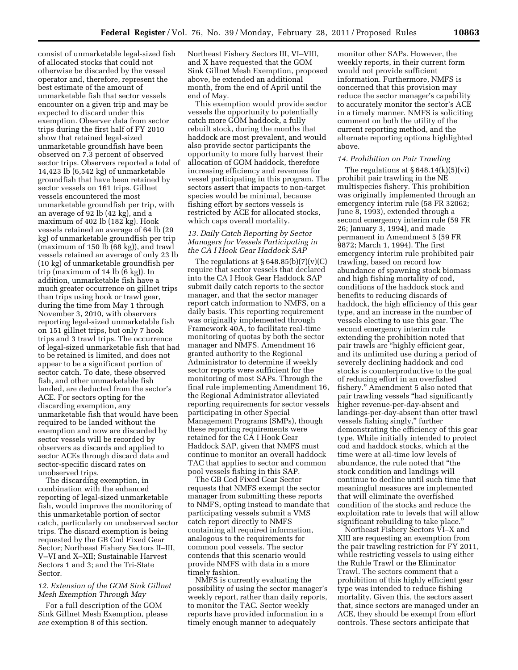consist of unmarketable legal-sized fish of allocated stocks that could not otherwise be discarded by the vessel operator and, therefore, represent the best estimate of the amount of unmarketable fish that sector vessels encounter on a given trip and may be expected to discard under this exemption. Observer data from sector trips during the first half of FY 2010 show that retained legal-sized unmarketable groundfish have been observed on 7.3 percent of observed sector trips. Observers reported a total of 14,423 lb (6,542 kg) of unmarketable groundfish that have been retained by sector vessels on 161 trips. Gillnet vessels encountered the most unmarketable groundfish per trip, with an average of 92 lb (42 kg), and a maximum of 402 lb (182 kg). Hook vessels retained an average of 64 lb (29 kg) of unmarketable groundfish per trip (maximum of 150 lb (68 kg)), and trawl vessels retained an average of only 23 lb (10 kg) of unmarketable groundfish per trip (maximum of 14 lb (6 kg)). In addition, unmarketable fish have a much greater occurrence on gillnet trips than trips using hook or trawl gear, during the time from May 1 through November 3, 2010, with observers reporting legal-sized unmarketable fish on 151 gillnet trips, but only 7 hook trips and 3 trawl trips. The occurrence of legal-sized unmarketable fish that had to be retained is limited, and does not appear to be a significant portion of sector catch. To date, these observed fish, and other unmarketable fish landed, are deducted from the sector's ACE. For sectors opting for the discarding exemption, any unmarketable fish that would have been required to be landed without the exemption and now are discarded by sector vessels will be recorded by observers as discards and applied to sector ACEs through discard data and sector-specific discard rates on unobserved trips.

The discarding exemption, in combination with the enhanced reporting of legal-sized unmarketable fish, would improve the monitoring of this unmarketable portion of sector catch, particularly on unobserved sector trips. The discard exemption is being requested by the GB Cod Fixed Gear Sector; Northeast Fishery Sectors II–III, V–VI and X–XII; Sustainable Harvest Sectors 1 and 3; and the Tri-State Sector.

# *12. Extension of the GOM Sink Gillnet Mesh Exemption Through May*

For a full description of the GOM Sink Gillnet Mesh Exemption, please *see* exemption 8 of this section.

Northeast Fishery Sectors III, VI–VIII, and X have requested that the GOM Sink Gillnet Mesh Exemption, proposed above, be extended an additional month, from the end of April until the end of May.

This exemption would provide sector vessels the opportunity to potentially catch more GOM haddock, a fully rebuilt stock, during the months that haddock are most prevalent, and would also provide sector participants the opportunity to more fully harvest their allocation of GOM haddock, therefore increasing efficiency and revenues for vessel participating in this program. The sectors assert that impacts to non-target species would be minimal, because fishing effort by sectors vessels is restricted by ACE for allocated stocks, which caps overall mortality.

# *13. Daily Catch Reporting by Sector Managers for Vessels Participating in the CA I Hook Gear Haddock SAP*

The regulations at  $\S 648.85(b)(7)(v)(C)$ require that sector vessels that declared into the CA I Hook Gear Haddock SAP submit daily catch reports to the sector manager, and that the sector manager report catch information to NMFS, on a daily basis. This reporting requirement was originally implemented through Framework 40A, to facilitate real-time monitoring of quotas by both the sector manager and NMFS. Amendment 16 granted authority to the Regional Administrator to determine if weekly sector reports were sufficient for the monitoring of most SAPs. Through the final rule implementing Amendment 16, the Regional Administrator alleviated reporting requirements for sector vessels participating in other Special Management Programs (SMPs), though these reporting requirements were retained for the CA I Hook Gear Haddock SAP, given that NMFS must continue to monitor an overall haddock TAC that applies to sector and common pool vessels fishing in this SAP.

The GB Cod Fixed Gear Sector requests that NMFS exempt the sector manager from submitting these reports to NMFS, opting instead to mandate that participating vessels submit a VMS catch report directly to NMFS containing all required information, analogous to the requirements for common pool vessels. The sector contends that this scenario would provide NMFS with data in a more timely fashion.

NMFS is currently evaluating the possibility of using the sector manager's weekly report, rather than daily reports, to monitor the TAC. Sector weekly reports have provided information in a timely enough manner to adequately

monitor other SAPs. However, the weekly reports, in their current form would not provide sufficient information. Furthermore, NMFS is concerned that this provision may reduce the sector manager's capability to accurately monitor the sector's ACE in a timely manner. NMFS is soliciting comment on both the utility of the current reporting method, and the alternate reporting options highlighted above.

#### *14. Prohibition on Pair Trawling*

The regulations at  $\S 648.14(k)(5)(vi)$ prohibit pair trawling in the NE multispecies fishery. This prohibition was originally implemented through an emergency interim rule (58 FR 32062; June 8, 1993), extended through a second emergency interim rule (59 FR 26; January 3, 1994), and made permanent in Amendment 5 (59 FR 9872; March 1, 1994). The first emergency interim rule prohibited pair trawling, based on record low abundance of spawning stock biomass and high fishing mortality of cod, conditions of the haddock stock and benefits to reducing discards of haddock, the high efficiency of this gear type, and an increase in the number of vessels electing to use this gear. The second emergency interim rule extending the prohibition noted that pair trawls are ''highly efficient gear, and its unlimited use during a period of severely declining haddock and cod stocks is counterproductive to the goal of reducing effort in an overfished fishery.'' Amendment 5 also noted that pair trawling vessels ''had significantly higher revenue-per-day-absent and landings-per-day-absent than otter trawl vessels fishing singly,'' further demonstrating the efficiency of this gear type. While initially intended to protect cod and haddock stocks, which at the time were at all-time low levels of abundance, the rule noted that ''the stock condition and landings will continue to decline until such time that meaningful measures are implemented that will eliminate the overfished condition of the stocks and reduce the exploitation rate to levels that will allow significant rebuilding to take place.''

Northeast Fishery Sectors VI–X and XIII are requesting an exemption from the pair trawling restriction for FY 2011, while restricting vessels to using either the Ruhle Trawl or the Eliminator Trawl. The sectors comment that a prohibition of this highly efficient gear type was intended to reduce fishing mortality. Given this, the sectors assert that, since sectors are managed under an ACE, they should be exempt from effort controls. These sectors anticipate that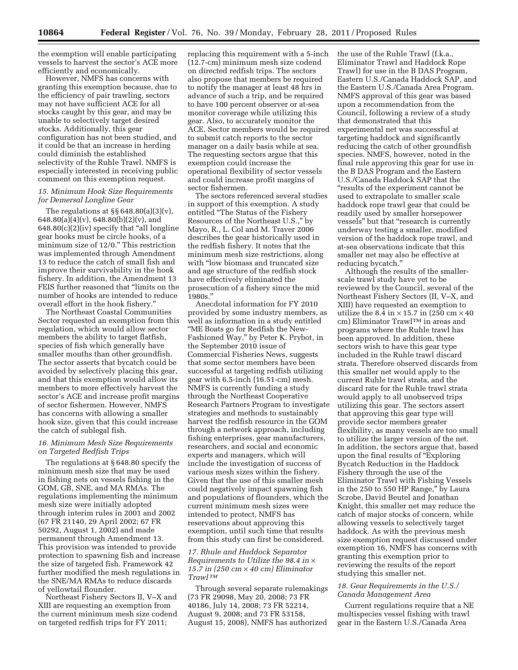the exemption will enable participating vessels to harvest the sector's ACE more efficiently and economically.

However, NMFS has concerns with granting this exemption because, due to the efficiency of pair trawling, sectors may not have sufficient ACE for all stocks caught by this gear, and may be unable to selectively target desired stocks. Additionally, this gear configuration has not been studied, and it could be that an increase in herding could diminish the established selectivity of the Ruhle Trawl. NMFS is especially interested in receiving public comment on this exemption request.

### *15. Minimum Hook Size Requirements for Demersal Longline Gear*

The regulations at §§ 648.80(a)(3)(v), 648.80(a)(4)(v), 648.80(b)(2)(v), and  $648.80(c)(2)(iv)$  specify that "all longline" gear hooks must be circle hooks, of a minimum size of 12/0.'' This restriction was implemented through Amendment 13 to reduce the catch of small fish and improve their survivability in the hook fishery. In addition, the Amendment 13 FEIS further reasoned that "limits on the number of hooks are intended to reduce overall effort in the hook fishery.''

The Northeast Coastal Communities Sector requested an exemption from this regulation, which would allow sector members the ability to target flatfish, species of fish which generally have smaller mouths than other groundfish. The sector asserts that bycatch could be avoided by selectively placing this gear, and that this exemption would allow its members to more effectively harvest the sector's ACE and increase profit margins of sector fishermen. However, NMFS has concerns with allowing a smaller hook size, given that this could increase the catch of sublegal fish.

# *16. Minimum Mesh Size Requirements on Targeted Redfish Trips*

The regulations at § 648.80 specify the minimum mesh size that may be used in fishing nets on vessels fishing in the GOM, GB, SNE, and MA RMAs. The regulations implementing the minimum mesh size were initially adopted through interim rules in 2001 and 2002 (67 FR 21140, 29 April 2002; 67 FR 50292, August 1, 2002) and made permanent through Amendment 13. This provision was intended to provide protection to spawning fish and increase the size of targeted fish. Framework 42 further modified the mesh regulations in the SNE/MA RMAs to reduce discards of yellowtail flounder.

Northeast Fishery Sectors II, V–X and XIII are requesting an exemption from the current minimum mesh size codend on targeted redfish trips for FY 2011;

replacing this requirement with a 5-inch (12.7-cm) minimum mesh size codend on directed redfish trips. The sectors also propose that members be required to notify the manager at least 48 hrs in advance of such a trip, and be required to have 100 percent observer or at-sea monitor coverage while utilizing this gear. Also, to accurately monitor the ACE, Sector members would be required to submit catch reports to the sector manager on a daily basis while at sea. The requesting sectors argue that this exemption could increase the operational flexibility of sector vessels and could increase profit margins of sector fishermen.

The sectors referenced several studies in support of this exemption. A study entitled ''The Status of the Fishery Resources of the Northeast U.S.,'' by Mayo, R., L. Col and M. Traver 2006 describes the gear historically used in the redfish fishery. It notes that the minimum mesh size restrictions, along with "low biomass and truncated size and age structure of the redfish stock have effectively eliminated the prosecution of a fishery since the mid 1980s.''

Anecdotal information for FY 2010 provided by some industry members, as well as information in a study entitled ''ME Boats go for Redfish the New-Fashioned Way,'' by Peter K. Prybot, in the September 2010 issue of Commercial Fisheries News, suggests that some sector members have been successful at targeting redfish utilizing gear with 6.5-inch (16.51-cm) mesh. NMFS is currently funding a study through the Northeast Cooperative Research Partners Program to investigate strategies and methods to sustainably harvest the redfish resource in the GOM through a network approach, including fishing enterprises, gear manufacturers, researchers, and social and economic experts and managers, which will include the investigation of success of various mesh sizes within the fishery. Given that the use of this smaller mesh could negatively impact spawning fish and populations of flounders, which the current minimum mesh sizes were intended to protect, NMFS has reservations about approving this exemption, until such time that results from this study can first be considered.

# *17. Rhule and Haddock Separator Requirements to Utilize the 98.4 in* × *15.7 in (250 cm* × *40 cm) Eliminator Trawl TM*

Through several separate rulemakings (73 FR 29098, May 20, 2008; 73 FR 40186, July 14, 2008; 73 FR 52214, August 9, 2008; and 73 FR 53158, August 15, 2008), NMFS has authorized

the use of the Ruhle Trawl (f.k.a., Eliminator Trawl and Haddock Rope Trawl) for use in the B DAS Program, Eastern U.S./Canada Haddock SAP, and the Eastern U.S./Canada Area Program. NMFS approval of this gear was based upon a recommendation from the Council, following a review of a study that demonstrated that this experimental net was successful at targeting haddock and significantly reducing the catch of other groundfish species. NMFS, however, noted in the final rule approving this gear for use in the B DAS Program and the Eastern U.S./Canada Haddock SAP that the ''results of the experiment cannot be used to extrapolate to smaller scale haddock rope trawl gear that could be readily used by smaller horsepower vessels'' but that ''research is currently underway testing a smaller, modified version of the haddock rope trawl, and at-sea observations indicate that this smaller net may also be effective at reducing bycatch.''

Although the results of the smallerscale trawl study have yet to be reviewed by the Council, several of the Northeast Fishery Sectors (II, V–X, and XIII) have requested an exemption to utilize the 8.4 in  $\times$  15.7 in (250 cm  $\times$  40 cm) Eliminator TrawlTM in areas and programs where the Ruhle trawl has been approved. In addition, these sectors wish to have this gear type included in the Ruhle trawl discard strata. Therefore observed discards from this smaller net would apply to the current Ruhle trawl strata, and the discard rate for the Ruhle trawl strata would apply to all unobserved trips utilizing this gear. The sectors assert that approving this gear type will provide sector members greater flexibility, as many vessels are too small to utilize the larger version of the net. In addition, the sectors argue that, based upon the final results of ''Exploring Bycatch Reduction in the Haddock Fishery through the use of the Eliminator Trawl with Fishing Vessels in the 250 to 550 HP Range,'' by Laura Scrobe, David Beutel and Jonathan Knight, this smaller net may reduce the catch of major stocks of concern, while allowing vessels to selectively target haddock. As with the previous mesh size exemption request discussed under exemption 16, NMFS has concerns with granting this exemption prior to reviewing the results of the report studying this smaller net.

### *18. Gear Requirements in the U.S./ Canada Management Area*

Current regulations require that a NE multispecies vessel fishing with trawl gear in the Eastern U.S./Canada Area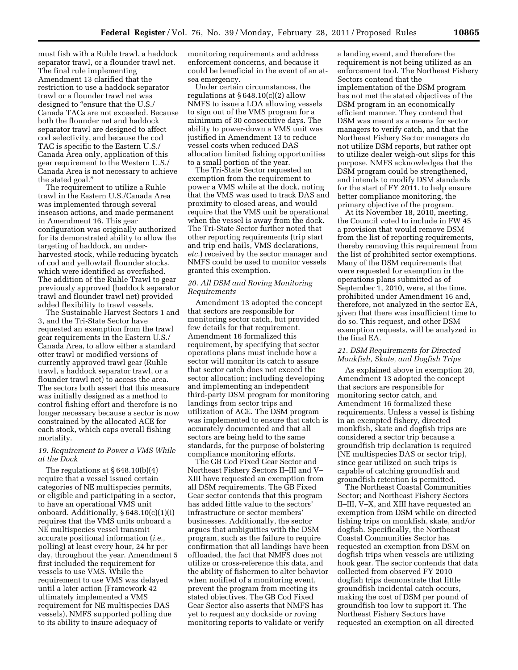must fish with a Ruhle trawl, a haddock separator trawl, or a flounder trawl net. The final rule implementing Amendment 13 clarified that the restriction to use a haddock separator trawl or a flounder trawl net was designed to "ensure that the U.S. Canada TACs are not exceeded. Because both the flounder net and haddock separator trawl are designed to affect cod selectivity, and because the cod TAC is specific to the Eastern U.S./ Canada Area only, application of this gear requirement to the Western U.S./ Canada Area is not necessary to achieve the stated goal.''

The requirement to utilize a Ruhle trawl in the Eastern U.S./Canada Area was implemented through several inseason actions, and made permanent in Amendment 16. This gear configuration was originally authorized for its demonstrated ability to allow the targeting of haddock, an underharvested stock, while reducing bycatch of cod and yellowtail flounder stocks, which were identified as overfished. The addition of the Ruhle Trawl to gear previously approved (haddock separator trawl and flounder trawl net) provided added flexibility to trawl vessels.

The Sustainable Harvest Sectors 1 and 3, and the Tri-State Sector have requested an exemption from the trawl gear requirements in the Eastern U.S./ Canada Area, to allow either a standard otter trawl or modified versions of currently approved trawl gear (Ruhle trawl, a haddock separator trawl, or a flounder trawl net) to access the area. The sectors both assert that this measure was initially designed as a method to control fishing effort and therefore is no longer necessary because a sector is now constrained by the allocated ACE for each stock, which caps overall fishing mortality.

# *19. Requirement to Power a VMS While at the Dock*

The regulations at § 648.10(b)(4) require that a vessel issued certain categories of NE multispecies permits, or eligible and participating in a sector, to have an operational VMS unit onboard. Additionally, § 648.10(c)(1)(i) requires that the VMS units onboard a NE multispecies vessel transmit accurate positional information (*i.e.,*  polling) at least every hour, 24 hr per day, throughout the year. Amendment 5 first included the requirement for vessels to use VMS. While the requirement to use VMS was delayed until a later action (Framework 42 ultimately implemented a VMS requirement for NE multispecies DAS vessels), NMFS supported polling due to its ability to insure adequacy of

monitoring requirements and address enforcement concerns, and because it could be beneficial in the event of an atsea emergency.

Under certain circumstances, the regulations at § 648.10(c)(2) allow NMFS to issue a LOA allowing vessels to sign out of the VMS program for a minimum of 30 consecutive days. The ability to power-down a VMS unit was justified in Amendment 13 to reduce vessel costs when reduced DAS allocation limited fishing opportunities to a small portion of the year.

The Tri-State Sector requested an exemption from the requirement to power a VMS while at the dock, noting that the VMS was used to track DAS and proximity to closed areas, and would require that the VMS unit be operational when the vessel is away from the dock. The Tri-State Sector further noted that other reporting requirements (trip start and trip end hails, VMS declarations, *etc.*) received by the sector manager and NMFS could be used to monitor vessels granted this exemption.

# *20. All DSM and Roving Monitoring Requirements*

Amendment 13 adopted the concept that sectors are responsible for monitoring sector catch, but provided few details for that requirement. Amendment 16 formalized this requirement, by specifying that sector operations plans must include how a sector will monitor its catch to assure that sector catch does not exceed the sector allocation; including developing and implementing an independent third-party DSM program for monitoring landings from sector trips and utilization of ACE. The DSM program was implemented to ensure that catch is accurately documented and that all sectors are being held to the same standards, for the purpose of bolstering compliance monitoring efforts.

The GB Cod Fixed Gear Sector and Northeast Fishery Sectors II–III and V– XIII have requested an exemption from all DSM requirements. The GB Fixed Gear sector contends that this program has added little value to the sectors' infrastructure or sector members' businesses. Additionally, the sector argues that ambiguities with the DSM program, such as the failure to require confirmation that all landings have been offloaded, the fact that NMFS does not utilize or cross-reference this data, and the ability of fishermen to alter behavior when notified of a monitoring event, prevent the program from meeting its stated objectives. The GB Cod Fixed Gear Sector also asserts that NMFS has yet to request any dockside or roving monitoring reports to validate or verify

a landing event, and therefore the requirement is not being utilized as an enforcement tool. The Northeast Fishery Sectors contend that the implementation of the DSM program has not met the stated objectives of the DSM program in an economically efficient manner. They contend that DSM was meant as a means for sector managers to verify catch, and that the Northeast Fishery Sector managers do not utilize DSM reports, but rather opt to utilize dealer weigh-out slips for this purpose. NMFS acknowledges that the DSM program could be strengthened, and intends to modify DSM standards for the start of FY 2011, to help ensure better compliance monitoring, the primary objective of the program.

At its November 18, 2010, meeting, the Council voted to include in FW 45 a provision that would remove DSM from the list of reporting requirements, thereby removing this requirement from the list of prohibited sector exemptions. Many of the DSM requirements that were requested for exemption in the operations plans submitted as of September 1, 2010, were, at the time, prohibited under Amendment 16 and, therefore, not analyzed in the sector EA, given that there was insufficient time to do so. This request, and other DSM exemption requests, will be analyzed in the final EA.

# *21. DSM Requirements for Directed Monkfish, Skate, and Dogfish Trips*

As explained above in exemption 20, Amendment 13 adopted the concept that sectors are responsible for monitoring sector catch, and Amendment 16 formalized these requirements. Unless a vessel is fishing in an exempted fishery, directed monkfish, skate and dogfish trips are considered a sector trip because a groundfish trip declaration is required (NE multispecies DAS or sector trip), since gear utilized on such trips is capable of catching groundfish and groundfish retention is permitted.

The Northeast Coastal Communities Sector; and Northeast Fishery Sectors II–III, V–X, and XIII have requested an exemption from DSM while on directed fishing trips on monkfish, skate, and/or dogfish. Specifically, the Northeast Coastal Communities Sector has requested an exemption from DSM on dogfish trips when vessels are utilizing hook gear. The sector contends that data collected from observed FY 2010 dogfish trips demonstrate that little groundfish incidental catch occurs, making the cost of DSM per pound of groundfish too low to support it. The Northeast Fishery Sectors have requested an exemption on all directed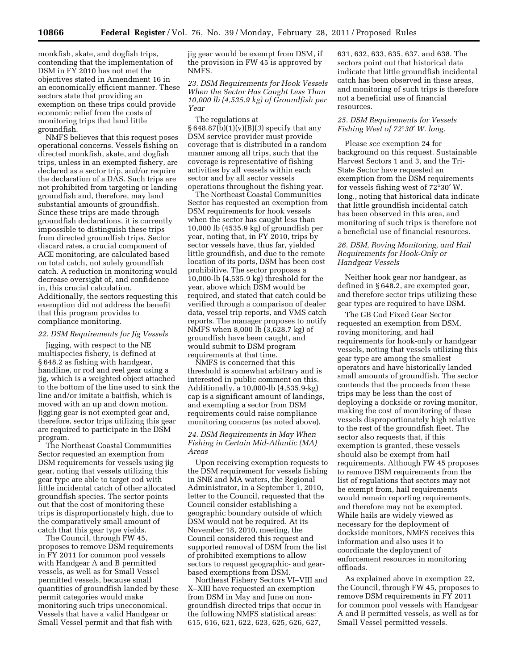monkfish, skate, and dogfish trips, contending that the implementation of DSM in FY 2010 has not met the objectives stated in Amendment 16 in an economically efficient manner. These sectors state that providing an exemption on these trips could provide economic relief from the costs of monitoring trips that land little groundfish.

NMFS believes that this request poses operational concerns. Vessels fishing on directed monkfish, skate, and dogfish trips, unless in an exempted fishery, are declared as a sector trip, and/or require the declaration of a DAS. Such trips are not prohibited from targeting or landing groundfish and, therefore, may land substantial amounts of groundfish. Since these trips are made through groundfish declarations, it is currently impossible to distinguish these trips from directed groundfish trips. Sector discard rates, a crucial component of ACE monitoring, are calculated based on total catch, not solely groundfish catch. A reduction in monitoring would decrease oversight of, and confidence in, this crucial calculation. Additionally, the sectors requesting this exemption did not address the benefit that this program provides to compliance monitoring.

### *22. DSM Requirements for Jig Vessels*

Jigging, with respect to the NE multispecies fishery, is defined at § 648.2 as fishing with handgear, handline, or rod and reel gear using a jig, which is a weighted object attached to the bottom of the line used to sink the line and/or imitate a baitfish, which is moved with an up and down motion. Jigging gear is not exempted gear and, therefore, sector trips utilizing this gear are required to participate in the DSM program.

The Northeast Coastal Communities Sector requested an exemption from DSM requirements for vessels using jig gear, noting that vessels utilizing this gear type are able to target cod with little incidental catch of other allocated groundfish species. The sector points out that the cost of monitoring these trips is disproportionately high, due to the comparatively small amount of catch that this gear type yields.

The Council, through FW 45, proposes to remove DSM requirements in FY 2011 for common pool vessels with Handgear A and B permitted vessels, as well as for Small Vessel permitted vessels, because small quantities of groundfish landed by these permit categories would make monitoring such trips uneconomical. Vessels that have a valid Handgear or Small Vessel permit and that fish with

jig gear would be exempt from DSM, if the provision in FW 45 is approved by NMFS.

*23. DSM Requirements for Hook Vessels When the Sector Has Caught Less Than 10,000 lb (4,535.9 kg) of Groundfish per Year* 

The regulations at § 648.87(b)(1)(v)(B)(*3*) specify that any DSM service provider must provide coverage that is distributed in a random manner among all trips, such that the coverage is representative of fishing activities by all vessels within each sector and by all sector vessels operations throughout the fishing year.

The Northeast Coastal Communities Sector has requested an exemption from DSM requirements for hook vessels when the sector has caught less than 10,000 lb (4535.9 kg) of groundfish per year, noting that, in FY 2010, trips by sector vessels have, thus far, yielded little groundfish, and due to the remote location of its ports, DSM has been cost prohibitive. The sector proposes a 10,000-lb (4,535.9 kg) threshold for the year, above which DSM would be required, and stated that catch could be verified through a comparison of dealer data, vessel trip reports, and VMS catch reports. The manager proposes to notify NMFS when 8,000 lb (3,628.7 kg) of groundfish have been caught, and would submit to DSM program requirements at that time.

NMFS is concerned that this threshold is somewhat arbitrary and is interested in public comment on this. Additionally, a 10,000-lb (4,535.9-kg) cap is a significant amount of landings, and exempting a sector from DSM requirements could raise compliance monitoring concerns (as noted above).

#### *24. DSM Requirements in May When Fishing in Certain Mid-Atlantic (MA) Areas*

Upon receiving exemption requests to the DSM requirement for vessels fishing in SNE and MA waters, the Regional Administrator, in a September 1, 2010, letter to the Council, requested that the Council consider establishing a geographic boundary outside of which DSM would not be required. At its November 18, 2010, meeting, the Council considered this request and supported removal of DSM from the list of prohibited exemptions to allow sectors to request geographic- and gearbased exemptions from DSM.

Northeast Fishery Sectors VI–VIII and X–XIII have requested an exemption from DSM in May and June on nongroundfish directed trips that occur in the following NMFS statistical areas: 615, 616, 621, 622, 623, 625, 626, 627,

631, 632, 633, 635, 637, and 638. The sectors point out that historical data indicate that little groundfish incidental catch has been observed in these areas, and monitoring of such trips is therefore not a beneficial use of financial resources.

# *25. DSM Requirements for Vessels Fishing West of 72*°*30*′ *W. long.*

Please *see* exemption 24 for background on this request. Sustainable Harvest Sectors 1 and 3, and the Tri-State Sector have requested an exemption from the DSM requirements for vessels fishing west of 72°30′ W. long., noting that historical data indicate that little groundfish incidental catch has been observed in this area, and monitoring of such trips is therefore not a beneficial use of financial resources.

# *26. DSM, Roving Monitoring, and Hail Requirements for Hook-Only or Handgear Vessels*

Neither hook gear nor handgear, as defined in § 648.2, are exempted gear, and therefore sector trips utilizing these gear types are required to have DSM.

The GB Cod Fixed Gear Sector requested an exemption from DSM, roving monitoring, and hail requirements for hook-only or handgear vessels, noting that vessels utilizing this gear type are among the smallest operators and have historically landed small amounts of groundfish. The sector contends that the proceeds from these trips may be less than the cost of deploying a dockside or roving monitor, making the cost of monitoring of these vessels disproportionately high relative to the rest of the groundfish fleet. The sector also requests that, if this exemption is granted, these vessels should also be exempt from hail requirements. Although FW 45 proposes to remove DSM requirements from the list of regulations that sectors may not be exempt from, hail requirements would remain reporting requirements, and therefore may not be exempted. While hails are widely viewed as necessary for the deployment of dockside monitors, NMFS receives this information and also uses it to coordinate the deployment of enforcement resources in monitoring offloads.

As explained above in exemption 22, the Council, through FW 45, proposes to remove DSM requirements in FY 2011 for common pool vessels with Handgear A and B permitted vessels, as well as for Small Vessel permitted vessels.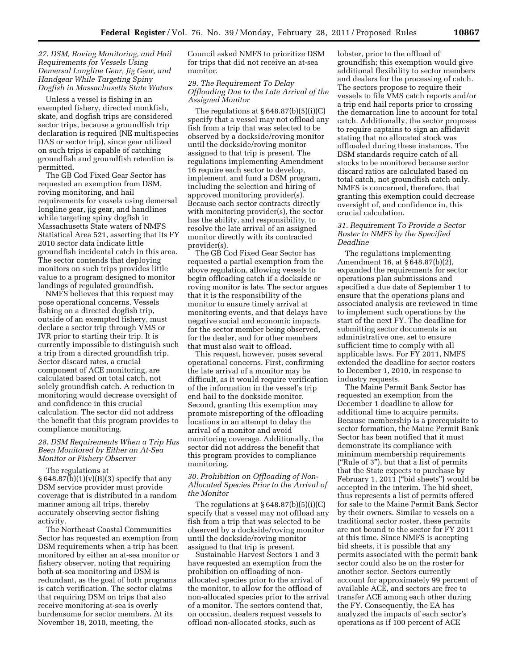# *27. DSM, Roving Monitoring, and Hail Requirements for Vessels Using Demersal Longline Gear, Jig Gear, and Handgear While Targeting Spiny Dogfish in Massachusetts State Waters*

Unless a vessel is fishing in an exempted fishery, directed monkfish, skate, and dogfish trips are considered sector trips, because a groundfish trip declaration is required (NE multispecies DAS or sector trip), since gear utilized on such trips is capable of catching groundfish and groundfish retention is permitted.

The GB Cod Fixed Gear Sector has requested an exemption from DSM, roving monitoring, and hail requirements for vessels using demersal longline gear, jig gear, and handlines while targeting spiny dogfish in Massachusetts State waters of NMFS Statistical Area 521, asserting that its FY 2010 sector data indicate little groundfish incidental catch in this area. The sector contends that deploying monitors on such trips provides little value to a program designed to monitor landings of regulated groundfish.

NMFS believes that this request may pose operational concerns. Vessels fishing on a directed dogfish trip, outside of an exempted fishery, must declare a sector trip through VMS or IVR prior to starting their trip. It is currently impossible to distinguish such a trip from a directed groundfish trip. Sector discard rates, a crucial component of ACE monitoring, are calculated based on total catch, not solely groundfish catch. A reduction in monitoring would decrease oversight of and confidence in this crucial calculation. The sector did not address the benefit that this program provides to compliance monitoring.

# *28. DSM Requirements When a Trip Has Been Monitored by Either an At-Sea Monitor or Fishery Observer*

#### The regulations at

 $§ 648.87(b)(1)(v)(B)(3)$  specify that any DSM service provider must provide coverage that is distributed in a random manner among all trips, thereby accurately observing sector fishing activity.

The Northeast Coastal Communities Sector has requested an exemption from DSM requirements when a trip has been monitored by either an at-sea monitor or fishery observer, noting that requiring both at-sea monitoring and DSM is redundant, as the goal of both programs is catch verification. The sector claims that requiring DSM on trips that also receive monitoring at-sea is overly burdensome for sector members. At its November 18, 2010, meeting, the

Council asked NMFS to prioritize DSM for trips that did not receive an at-sea monitor.

# *29. The Requirement To Delay Offloading Due to the Late Arrival of the Assigned Monitor*

The regulations at  $\S 648.87(b)(5)(i)(C)$ specify that a vessel may not offload any fish from a trip that was selected to be observed by a dockside/roving monitor until the dockside/roving monitor assigned to that trip is present. The regulations implementing Amendment 16 require each sector to develop, implement, and fund a DSM program, including the selection and hiring of approved monitoring provider(s). Because each sector contracts directly with monitoring provider(s), the sector has the ability, and responsibility, to resolve the late arrival of an assigned monitor directly with its contracted provider(s).

The GB Cod Fixed Gear Sector has requested a partial exemption from the above regulation, allowing vessels to begin offloading catch if a dockside or roving monitor is late. The sector argues that it is the responsibility of the monitor to ensure timely arrival at monitoring events, and that delays have negative social and economic impacts for the sector member being observed, for the dealer, and for other members that must also wait to offload.

This request, however, poses several operational concerns. First, confirming the late arrival of a monitor may be difficult, as it would require verification of the information in the vessel's trip end hail to the dockside monitor. Second, granting this exemption may promote misreporting of the offloading locations in an attempt to delay the arrival of a monitor and avoid monitoring coverage. Additionally, the sector did not address the benefit that this program provides to compliance monitoring.

# *30. Prohibition on Offloading of Non-Allocated Species Prior to the Arrival of the Monitor*

The regulations at  $\S~648.87(b)(5)(i)(C)$ specify that a vessel may not offload any fish from a trip that was selected to be observed by a dockside/roving monitor until the dockside/roving monitor assigned to that trip is present.

Sustainable Harvest Sectors 1 and 3 have requested an exemption from the prohibition on offloading of nonallocated species prior to the arrival of the monitor, to allow for the offload of non-allocated species prior to the arrival of a monitor. The sectors contend that, on occasion, dealers request vessels to offload non-allocated stocks, such as

lobster, prior to the offload of groundfish; this exemption would give additional flexibility to sector members and dealers for the processing of catch. The sectors propose to require their vessels to file VMS catch reports and/or a trip end hail reports prior to crossing the demarcation line to account for total catch. Additionally, the sector proposes to require captains to sign an affidavit stating that no allocated stock was offloaded during these instances. The DSM standards require catch of all stocks to be monitored because sector discard ratios are calculated based on total catch, not groundfish catch only. NMFS is concerned, therefore, that granting this exemption could decrease oversight of, and confidence in, this crucial calculation.

# *31. Requirement To Provide a Sector Roster to NMFS by the Specified Deadline*

The regulations implementing Amendment 16, at § 648.87(b)(2), expanded the requirements for sector operations plan submissions and specified a due date of September 1 to ensure that the operations plans and associated analysis are reviewed in time to implement such operations by the start of the next FY. The deadline for submitting sector documents is an administrative one, set to ensure sufficient time to comply with all applicable laws. For FY 2011, NMFS extended the deadline for sector rosters to December 1, 2010, in response to industry requests.

The Maine Permit Bank Sector has requested an exemption from the December 1 deadline to allow for additional time to acquire permits. Because membership is a prerequisite to sector formation, the Maine Permit Bank Sector has been notified that it must demonstrate its compliance with minimum membership requirements (''Rule of 3''), but that a list of permits that the State expects to purchase by February 1, 2011 ("bid sheets") would be accepted in the interim. The bid sheet, thus represents a list of permits offered for sale to the Maine Permit Bank Sector by their owners. Similar to vessels on a traditional sector roster, these permits are not bound to the sector for FY 2011 at this time. Since NMFS is accepting bid sheets, it is possible that any permits associated with the permit bank sector could also be on the roster for another sector. Sectors currently account for approximately 99 percent of available ACE, and sectors are free to transfer ACE among each other during the FY. Consequently, the EA has analyzed the impacts of each sector's operations as if 100 percent of ACE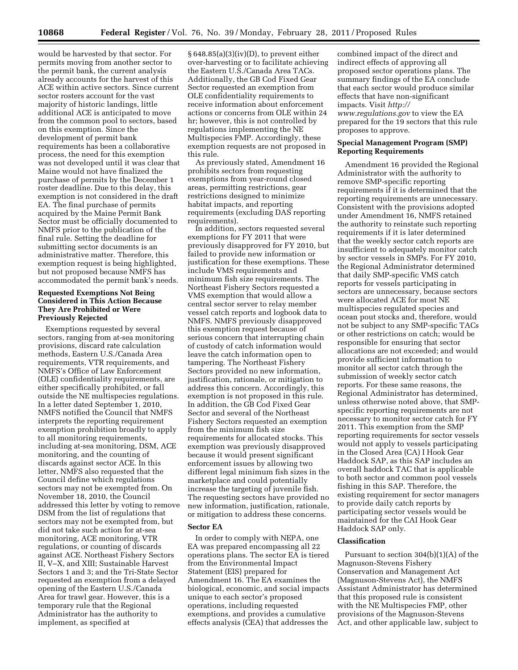would be harvested by that sector. For permits moving from another sector to the permit bank, the current analysis already accounts for the harvest of this ACE within active sectors. Since current sector rosters account for the vast majority of historic landings, little additional ACE is anticipated to move from the common pool to sectors, based on this exemption. Since the development of permit bank requirements has been a collaborative process, the need for this exemption was not developed until it was clear that Maine would not have finalized the purchase of permits by the December 1 roster deadline. Due to this delay, this exemption is not considered in the draft EA. The final purchase of permits acquired by the Maine Permit Bank Sector must be officially documented to NMFS prior to the publication of the final rule. Setting the deadline for submitting sector documents is an administrative matter. Therefore, this exemption request is being highlighted, but not proposed because NMFS has accommodated the permit bank's needs.

# **Requested Exemptions Not Being Considered in This Action Because They Are Prohibited or Were Previously Rejected**

Exemptions requested by several sectors, ranging from at-sea monitoring provisions, discard rate calculation methods, Eastern U.S./Canada Area requirements, VTR requirements, and NMFS's Office of Law Enforcement (OLE) confidentiality requirements, are either specifically prohibited, or fall outside the NE multispecies regulations. In a letter dated September 1, 2010, NMFS notified the Council that NMFS interprets the reporting requirement exemption prohibition broadly to apply to all monitoring requirements, including at-sea monitoring, DSM, ACE monitoring, and the counting of discards against sector ACE. In this letter, NMFS also requested that the Council define which regulations sectors may not be exempted from. On November 18, 2010, the Council addressed this letter by voting to remove DSM from the list of regulations that sectors may not be exempted from, but did not take such action for at-sea monitoring, ACE monitoring, VTR regulations, or counting of discards against ACE. Northeast Fishery Sectors II, V–X, and XIII; Sustainable Harvest Sectors 1 and 3; and the Tri-State Sector requested an exemption from a delayed opening of the Eastern U.S./Canada Area for trawl gear. However, this is a temporary rule that the Regional Administrator has the authority to implement, as specified at

§ 648.85(a)(3)(iv)(D), to prevent either over-harvesting or to facilitate achieving the Eastern U.S./Canada Area TACs. Additionally, the GB Cod Fixed Gear Sector requested an exemption from OLE confidentiality requirements to receive information about enforcement actions or concerns from OLE within 24 hr; however, this is not controlled by regulations implementing the NE Multispecies FMP. Accordingly, these exemption requests are not proposed in this rule.

As previously stated, Amendment 16 prohibits sectors from requesting exemptions from year-round closed areas, permitting restrictions, gear restrictions designed to minimize habitat impacts, and reporting requirements (excluding DAS reporting requirements).

In addition, sectors requested several exemptions for FY 2011 that were previously disapproved for FY 2010, but failed to provide new information or justification for these exemptions. These include VMS requirements and minimum fish size requirements. The Northeast Fishery Sectors requested a VMS exemption that would allow a central sector server to relay member vessel catch reports and logbook data to NMFS. NMFS previously disapproved this exemption request because of serious concern that interrupting chain of custody of catch information would leave the catch information open to tampering. The Northeast Fishery Sectors provided no new information, justification, rationale, or mitigation to address this concern. Accordingly, this exemption is not proposed in this rule. In addition, the GB Cod Fixed Gear Sector and several of the Northeast Fishery Sectors requested an exemption from the minimum fish size requirements for allocated stocks. This exemption was previously disapproved because it would present significant enforcement issues by allowing two different legal minimum fish sizes in the marketplace and could potentially increase the targeting of juvenile fish. The requesting sectors have provided no new information, justification, rationale, or mitigation to address these concerns.

# **Sector EA**

In order to comply with NEPA, one EA was prepared encompassing all 22 operations plans. The sector EA is tiered from the Environmental Impact Statement (EIS) prepared for Amendment 16. The EA examines the biological, economic, and social impacts unique to each sector's proposed operations, including requested exemptions, and provides a cumulative effects analysis (CEA) that addresses the

combined impact of the direct and indirect effects of approving all proposed sector operations plans. The summary findings of the EA conclude that each sector would produce similar effects that have non-significant impacts. Visit *[http://](http://www.regulations.gov)  [www.regulations.gov](http://www.regulations.gov)* to view the EA prepared for the 19 sectors that this rule proposes to approve.

# **Special Management Program (SMP) Reporting Requirements**

Amendment 16 provided the Regional Administrator with the authority to remove SMP-specific reporting requirements if it is determined that the reporting requirements are unnecessary. Consistent with the provisions adopted under Amendment 16, NMFS retained the authority to reinstate such reporting requirements if it is later determined that the weekly sector catch reports are insufficient to adequately monitor catch by sector vessels in SMPs. For FY 2010, the Regional Administrator determined that daily SMP-specific VMS catch reports for vessels participating in sectors are unnecessary, because sectors were allocated ACE for most NE multispecies regulated species and ocean pout stocks and, therefore, would not be subject to any SMP-specific TACs or other restrictions on catch; would be responsible for ensuring that sector allocations are not exceeded; and would provide sufficient information to monitor all sector catch through the submission of weekly sector catch reports. For these same reasons, the Regional Administrator has determined, unless otherwise noted above, that SMPspecific reporting requirements are not necessary to monitor sector catch for FY 2011. This exemption from the SMP reporting requirements for sector vessels would not apply to vessels participating in the Closed Area (CA) I Hook Gear Haddock SAP, as this SAP includes an overall haddock TAC that is applicable to both sector and common pool vessels fishing in this SAP. Therefore, the existing requirement for sector managers to provide daily catch reports by participating sector vessels would be maintained for the CAI Hook Gear Haddock SAP only.

### **Classification**

Pursuant to section 304(b)(1)(A) of the Magnuson-Stevens Fishery Conservation and Management Act (Magnuson-Stevens Act), the NMFS Assistant Administrator has determined that this proposed rule is consistent with the NE Multispecies FMP, other provisions of the Magnuson-Stevens Act, and other applicable law, subject to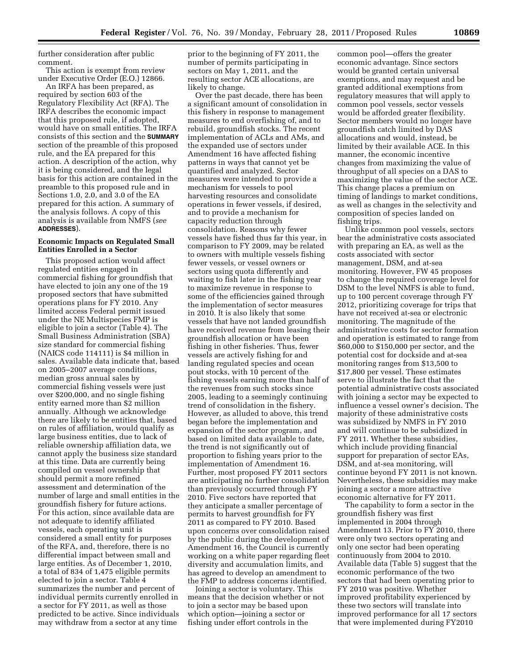further consideration after public comment.

This action is exempt from review under Executive Order (E.O.) 12866.

An IRFA has been prepared, as required by section 603 of the Regulatory Flexibility Act (RFA). The IRFA describes the economic impact that this proposed rule, if adopted, would have on small entities. The IRFA consists of this section and the **SUMMARY** section of the preamble of this proposed rule, and the EA prepared for this action. A description of the action, why it is being considered, and the legal basis for this action are contained in the preamble to this proposed rule and in Sections 1.0, 2.0, and 3.0 of the EA prepared for this action. A summary of the analysis follows. A copy of this analysis is available from NMFS (*see*  **ADDRESSES**).

# **Economic Impacts on Regulated Small Entities Enrolled in a Sector**

This proposed action would affect regulated entities engaged in commercial fishing for groundfish that have elected to join any one of the 19 proposed sectors that have submitted operations plans for FY 2010. Any limited access Federal permit issued under the NE Multispecies FMP is eligible to join a sector (Table 4). The Small Business Administration (SBA) size standard for commercial fishing (NAICS code 114111) is \$4 million in sales. Available data indicate that, based on 2005–2007 average conditions, median gross annual sales by commercial fishing vessels were just over \$200,000, and no single fishing entity earned more than \$2 million annually. Although we acknowledge there are likely to be entities that, based on rules of affiliation, would qualify as large business entities, due to lack of reliable ownership affiliation data, we cannot apply the business size standard at this time. Data are currently being compiled on vessel ownership that should permit a more refined assessment and determination of the number of large and small entities in the groundfish fishery for future actions. For this action, since available data are not adequate to identify affiliated vessels, each operating unit is considered a small entity for purposes of the RFA, and, therefore, there is no differential impact between small and large entities. As of December 1, 2010, a total of 834 of 1,475 eligible permits elected to join a sector. Table 4 summarizes the number and percent of individual permits currently enrolled in a sector for FY 2011, as well as those predicted to be active. Since individuals may withdraw from a sector at any time

prior to the beginning of FY 2011, the number of permits participating in sectors on May 1, 2011, and the resulting sector ACE allocations, are likely to change.

Over the past decade, there has been a significant amount of consolidation in this fishery in response to management measures to end overfishing of, and to rebuild, groundfish stocks. The recent implementation of ACLs and AMs, and the expanded use of sectors under Amendment 16 have affected fishing patterns in ways that cannot yet be quantified and analyzed. Sector measures were intended to provide a mechanism for vessels to pool harvesting resources and consolidate operations in fewer vessels, if desired, and to provide a mechanism for capacity reduction through consolidation. Reasons why fewer vessels have fished thus far this year, in comparison to FY 2009, may be related to owners with multiple vessels fishing fewer vessels, or vessel owners or sectors using quota differently and waiting to fish later in the fishing year to maximize revenue in response to some of the efficiencies gained through the implementation of sector measures in 2010. It is also likely that some vessels that have not landed groundfish have received revenue from leasing their groundfish allocation or have been fishing in other fisheries. Thus, fewer vessels are actively fishing for and landing regulated species and ocean pout stocks, with 10 percent of the fishing vessels earning more than half of the revenues from such stocks since 2005, leading to a seemingly continuing trend of consolidation in the fishery. However, as alluded to above, this trend began before the implementation and expansion of the sector program, and based on limited data available to date, the trend is not significantly out of proportion to fishing years prior to the implementation of Amendment 16. Further, most proposed FY 2011 sectors are anticipating no further consolidation than previously occurred through FY 2010. Five sectors have reported that they anticipate a smaller percentage of permits to harvest groundfish for FY 2011 as compared to FY 2010. Based upon concerns over consolidation raised by the public during the development of Amendment 16, the Council is currently working on a white paper regarding fleet diversity and accumulation limits, and has agreed to develop an amendment to the FMP to address concerns identified.

Joining a sector is voluntary. This means that the decision whether or not to join a sector may be based upon which option—joining a sector or fishing under effort controls in the

common pool—offers the greater economic advantage. Since sectors would be granted certain universal exemptions, and may request and be granted additional exemptions from regulatory measures that will apply to common pool vessels, sector vessels would be afforded greater flexibility. Sector members would no longer have groundfish catch limited by DAS allocations and would, instead, be limited by their available ACE. In this manner, the economic incentive changes from maximizing the value of throughput of all species on a DAS to maximizing the value of the sector ACE. This change places a premium on timing of landings to market conditions, as well as changes in the selectivity and composition of species landed on fishing trips.

Unlike common pool vessels, sectors bear the administrative costs associated with preparing an EA, as well as the costs associated with sector management, DSM, and at-sea monitoring. However, FW 45 proposes to change the required coverage level for DSM to the level NMFS is able to fund, up to 100 percent coverage through FY 2012, prioritizing coverage for trips that have not received at-sea or electronic monitoring. The magnitude of the administrative costs for sector formation and operation is estimated to range from \$60,000 to \$150,000 per sector, and the potential cost for dockside and at-sea monitoring ranges from \$13,500 to \$17,800 per vessel. These estimates serve to illustrate the fact that the potential administrative costs associated with joining a sector may be expected to influence a vessel owner's decision. The majority of these administrative costs was subsidized by NMFS in FY 2010 and will continue to be subsidized in FY 2011. Whether these subsidies, which include providing financial support for preparation of sector EAs, DSM, and at-sea monitoring, will continue beyond FY 2011 is not known. Nevertheless, these subsidies may make joining a sector a more attractive economic alternative for FY 2011.

The capability to form a sector in the groundfish fishery was first implemented in 2004 through Amendment 13. Prior to FY 2010, there were only two sectors operating and only one sector had been operating continuously from 2004 to 2010. Available data (Table 5) suggest that the economic performance of the two sectors that had been operating prior to FY 2010 was positive. Whether improved profitability experienced by these two sectors will translate into improved performance for all 17 sectors that were implemented during FY2010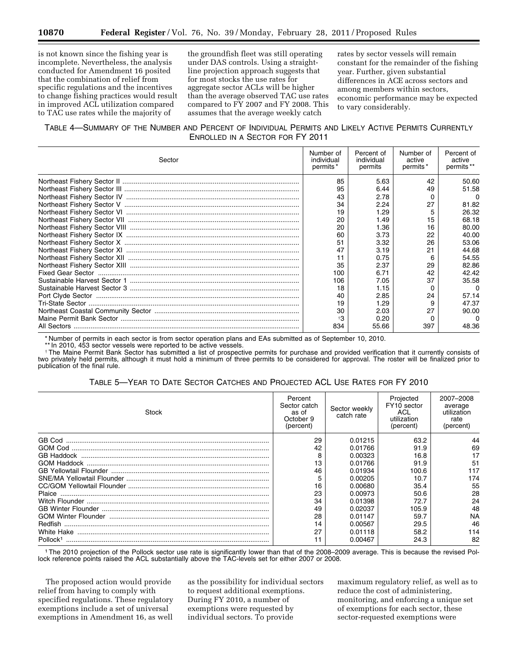is not known since the fishing year is incomplete. Nevertheless, the analysis conducted for Amendment 16 posited that the combination of relief from specific regulations and the incentives to change fishing practices would result in improved ACL utilization compared to TAC use rates while the majority of

the groundfish fleet was still operating under DAS controls. Using a straightline projection approach suggests that for most stocks the use rates for aggregate sector ACLs will be higher than the average observed TAC use rates compared to FY 2007 and FY 2008. This assumes that the average weekly catch

rates by sector vessels will remain constant for the remainder of the fishing year. Further, given substantial differences in ACE across sectors and among members within sectors, economic performance may be expected to vary considerably.

# TABLE 4—SUMMARY OF THE NUMBER AND PERCENT OF INDIVIDUAL PERMITS AND LIKELY ACTIVE PERMITS CURRENTLY ENROLLED IN A SECTOR FOR FY 2011

| Sector | Number of<br>individual<br>permits <sup>*</sup> | Percent of<br>individual<br>permits | Number of<br>active<br>permits* | Percent of<br>active<br>permits <sup>**</sup> |
|--------|-------------------------------------------------|-------------------------------------|---------------------------------|-----------------------------------------------|
|        | 85                                              | 5.63                                | 42                              | 50.60                                         |
|        | 95                                              | 6.44                                | 49                              | 51.58                                         |
|        | 43                                              | 2.78                                | 0                               | $\Omega$                                      |
|        | 34                                              | 2.24                                | 27                              | 81.82                                         |
|        | 19                                              | 1.29                                |                                 | 26.32                                         |
|        | 20                                              | 1.49                                | 15                              | 68.18                                         |
|        | 20                                              | 1.36                                | 16                              | 80.00                                         |
|        | 60                                              | 3.73                                | 22                              | 40.00                                         |
|        | 51                                              | 3.32                                | 26                              | 53.06                                         |
|        | 47                                              | 3.19                                | 21                              | 44.68                                         |
|        |                                                 | 0.75                                | 6                               | 54.55                                         |
|        | 35                                              | 2.37                                | 29                              | 82.86                                         |
|        | 100                                             | 6.71                                | 42                              | 42.42                                         |
|        | 106                                             | 7.05                                | 37                              | 35.58                                         |
|        | 18                                              | 1.15                                |                                 | $\Omega$                                      |
|        | 40                                              | 2.85                                | 24                              | 57.14                                         |
|        | 19                                              | 1.29                                | 9                               | 47.37                                         |
|        | 30                                              | 2.03                                | 27                              | 90.00                                         |
|        | $\ddagger$ 3                                    | 0.20                                |                                 | $\Omega$                                      |
|        | 834                                             | 55.66                               | 397                             | 48.36                                         |

\* Number of permits in each sector is from sector operation plans and EAs submitted as of September 10, 2010.

\*\* In 2010, 453 sector vessels were reported to be active vessels.

†The Maine Permit Bank Sector has submitted a list of prospective permits for purchase and provided verification that it currently consists of two privately held permits, although it must hold a minimum of three permits to be considered for approval. The roster will be finalized prior to publication of the final rule.

# TABLE 5—YEAR TO DATE SECTOR CATCHES AND PROJECTED ACL USE RATES FOR FY 2010

| Stock                | Percent<br>Sector catch<br>as of<br>October 9<br>(percent) | Sector weekly<br>catch rate | Projected<br>FY10 sector<br><b>ACL</b><br>utilization<br>(percent) | 2007–2008<br>average<br>utilization<br>rate<br>(percent) |
|----------------------|------------------------------------------------------------|-----------------------------|--------------------------------------------------------------------|----------------------------------------------------------|
|                      | 29                                                         | 0.01215                     | 63.2                                                               | 44                                                       |
|                      | 42                                                         | 0.01766                     | 91.9                                                               | 69                                                       |
|                      |                                                            | 0.00323                     | 16.8                                                               | 17                                                       |
|                      | 13                                                         | 0.01766                     | 91.9                                                               | 51                                                       |
|                      | 46                                                         | 0.01934                     | 100.6                                                              | 117                                                      |
|                      |                                                            | 0.00205                     | 10.7                                                               | 174                                                      |
|                      | 16                                                         | 0.00680                     | 35.4                                                               | 55                                                       |
| Plaice               | 23                                                         | 0.00973                     | 50.6                                                               | 28                                                       |
|                      | 34                                                         | 0.01398                     | 72.7                                                               | 24                                                       |
|                      | 49                                                         | 0.02037                     | 105.9                                                              | 48                                                       |
|                      | 28                                                         | 0.01147                     | 59.7                                                               | <b>NA</b>                                                |
| <b>Redfish</b>       | 14                                                         | 0.00567                     | 29.5                                                               | 46                                                       |
|                      | 27                                                         | 0.01118                     | 58.2                                                               | 114                                                      |
| Pollock <sup>1</sup> |                                                            | 0.00467                     | 24.3                                                               | 82                                                       |

1The 2010 projection of the Pollock sector use rate is significantly lower than that of the 2008–2009 average. This is because the revised Pollock reference points raised the ACL substantially above the TAC-levels set for either 2007 or 2008.

The proposed action would provide relief from having to comply with specified regulations. These regulatory exemptions include a set of universal exemptions in Amendment 16, as well as the possibility for individual sectors to request additional exemptions. During FY 2010, a number of exemptions were requested by individual sectors. To provide

maximum regulatory relief, as well as to reduce the cost of administering, monitoring, and enforcing a unique set of exemptions for each sector, these sector-requested exemptions were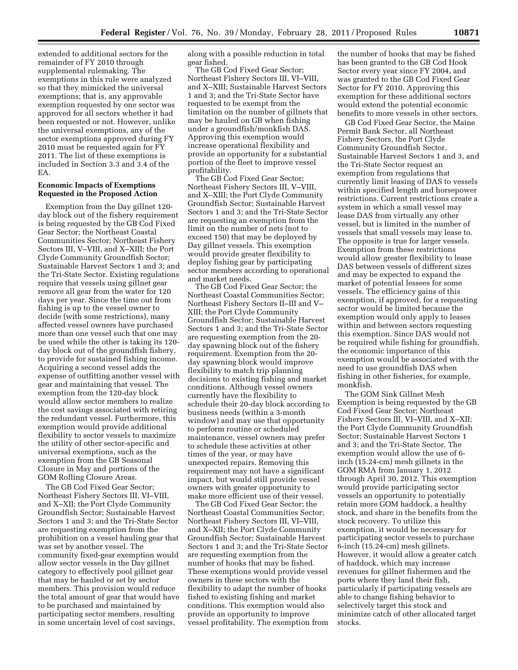extended to additional sectors for the remainder of FY 2010 through supplemental rulemaking. The exemptions in this rule were analyzed so that they mimicked the universal exemptions; that is, any approvable exemption requested by one sector was approved for all sectors whether it had been requested or not. However, unlike the universal exemptions, any of the sector exemptions approved during FY 2010 must be requested again for FY 2011. The list of these exemptions is included in Section 3.3 and 3.4 of the EA.

# **Economic Impacts of Exemptions Requested in the Proposed Action**

Exemption from the Day gillnet 120 day block out of the fishery requirement is being requested by the GB Cod Fixed Gear Sector; the Northeast Coastal Communities Sector; Northeast Fishery Sectors III, V–VIII, and X–XIII; the Port Clyde Community Groundfish Sector; Sustainable Harvest Sectors 1 and 3; and the Tri-State Sector. Existing regulations require that vessels using gillnet gear remove all gear from the water for 120 days per year. Since the time out from fishing is up to the vessel owner to decide (with some restrictions), many affected vessel owners have purchased more than one vessel such that one may be used while the other is taking its 120 day block out of the groundfish fishery, to provide for sustained fishing income. Acquiring a second vessel adds the expense of outfitting another vessel with gear and maintaining that vessel. The exemption from the 120-day block would allow sector members to realize the cost savings associated with retiring the redundant vessel. Furthermore, this exemption would provide additional flexibility to sector vessels to maximize the utility of other sector-specific and universal exemptions, such as the exemption from the GB Seasonal Closure in May and portions of the GOM Rolling Closure Areas.

The GB Cod Fixed Gear Sector; Northeast Fishery Sectors III, VI–VIII, and X–XII; the Port Clyde Community Groundfish Sector; Sustainable Harvest Sectors 1 and 3; and the Tri-State Sector are requesting exemption from the prohibition on a vessel hauling gear that was set by another vessel. The community fixed-gear exemption would allow sector vessels in the Day gillnet category to effectively pool gillnet gear that may be hauled or set by sector members. This provision would reduce the total amount of gear that would have to be purchased and maintained by participating sector members, resulting in some uncertain level of cost savings,

along with a possible reduction in total gear fished.

The GB Cod Fixed Gear Sector; Northeast Fishery Sectors III, VI–VIII, and X–XIII; Sustainable Harvest Sectors 1 and 3; and the Tri-State Sector have requested to be exempt from the limitation on the number of gillnets that may be hauled on GB when fishing under a groundfish/monkfish DAS. Approving this exemption would increase operational flexibility and provide an opportunity for a substantial portion of the fleet to improve vessel profitability.

The GB Cod Fixed Gear Sector; Northeast Fishery Sectors III, V–VIII, and X–XIII; the Port Clyde Community Groundfish Sector; Sustainable Harvest Sectors 1 and 3; and the Tri-State Sector are requesting an exemption from the limit on the number of nets (not to exceed 150) that may be deployed by Day gillnet vessels. This exemption would provide greater flexibility to deploy fishing gear by participating sector members according to operational and market needs.

The GB Cod Fixed Gear Sector; the Northeast Coastal Communities Sector; Northeast Fishery Sectors II–III and V– XIII; the Port Clyde Community Groundfish Sector; Sustainable Harvest Sectors 1 and 3; and the Tri-State Sector are requesting exemption from the 20 day spawning block out of the fishery requirement. Exemption from the 20 day spawning block would improve flexibility to match trip planning decisions to existing fishing and market conditions. Although vessel owners currently have the flexibility to schedule their 20-day block according to business needs (within a 3-month window) and may use that opportunity to perform routine or scheduled maintenance, vessel owners may prefer to schedule these activities at other times of the year, or may have unexpected repairs. Removing this requirement may not have a significant impact, but would still provide vessel owners with greater opportunity to make more efficient use of their vessel.

The GB Cod Fixed Gear Sector; the Northeast Coastal Communities Sector; Northeast Fishery Sectors III, VI–VIII, and X–XII; the Port Clyde Community Groundfish Sector; Sustainable Harvest Sectors 1 and 3; and the Tri-State Sector are requesting exemption from the number of hooks that may be fished. These exemptions would provide vessel owners in these sectors with the flexibility to adapt the number of hooks fished to existing fishing and market conditions. This exemption would also provide an opportunity to improve vessel profitability. The exemption from

the number of hooks that may be fished has been granted to the GB Cod Hook Sector every year since FY 2004, and was granted to the GB Cod Fixed Gear Sector for FY 2010. Approving this exemption for these additional sectors would extend the potential economic benefits to more vessels in other sectors.

GB Cod Fixed Gear Sector, the Maine Permit Bank Sector, all Northeast Fishery Sectors, the Port Clyde Community Groundfish Sector, Sustainable Harvest Sectors 1 and 3, and the Tri-State Sector request an exemption from regulations that currently limit leasing of DAS to vessels within specified length and horsepower restrictions. Current restrictions create a system in which a small vessel may lease DAS from virtually any other vessel, but is limited in the number of vessels that small vessels may lease to. The opposite is true for larger vessels. Exemption from these restrictions would allow greater flexibility to lease DAS between vessels of different sizes and may be expected to expand the market of potential lessees for some vessels. The efficiency gains of this exemption, if approved, for a requesting sector would be limited because the exemption would only apply to leases within and between sectors requesting this exemption. Since DAS would not be required while fishing for groundfish, the economic importance of this exemption would be associated with the need to use groundfish DAS when fishing in other fisheries, for example, monkfish.

The GOM Sink Gillnet Mesh Exemption is being requested by the GB Cod Fixed Gear Sector; Northeast Fishery Sectors III, VI–VIII, and X–XII; the Port Clyde Community Groundfish Sector; Sustainable Harvest Sectors 1 and 3; and the Tri-State Sector. The exemption would allow the use of 6 inch (15.24-cm) mesh gillnets in the GOM RMA from January 1, 2012 through April 30, 2012. This exemption would provide participating sector vessels an opportunity to potentially retain more GOM haddock, a healthy stock, and share in the benefits from the stock recovery. To utilize this exemption, it would be necessary for participating sector vessels to purchase 6-inch (15.24-cm) mesh gillnets. However, it would allow a greater catch of haddock, which may increase revenues for gillnet fishermen and the ports where they land their fish, particularly if participating vessels are able to change fishing behavior to selectively target this stock and minimize catch of other allocated target stocks.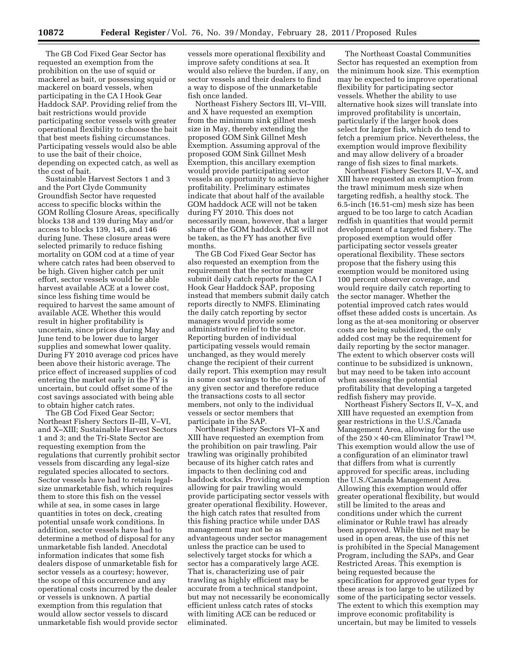The GB Cod Fixed Gear Sector has requested an exemption from the prohibition on the use of squid or mackerel as bait, or possessing squid or mackerel on board vessels, when participating in the CA I Hook Gear Haddock SAP. Providing relief from the bait restrictions would provide participating sector vessels with greater operational flexibility to choose the bait that best meets fishing circumstances. Participating vessels would also be able to use the bait of their choice, depending on expected catch, as well as the cost of bait.

Sustainable Harvest Sectors 1 and 3 and the Port Clyde Community Groundfish Sector have requested access to specific blocks within the GOM Rolling Closure Areas, specifically blocks 138 and 139 during May and/or access to blocks 139, 145, and 146 during June. These closure areas were selected primarily to reduce fishing mortality on GOM cod at a time of year where catch rates had been observed to be high. Given higher catch per unit effort, sector vessels would be able harvest available ACE at a lower cost, since less fishing time would be required to harvest the same amount of available ACE. Whether this would result in higher profitability is uncertain, since prices during May and June tend to be lower due to larger supplies and somewhat lower quality. During FY 2010 average cod prices have been above their historic average. The price effect of increased supplies of cod entering the market early in the FY is uncertain, but could offset some of the cost savings associated with being able to obtain higher catch rates.

The GB Cod Fixed Gear Sector; Northeast Fishery Sectors II–III, V–VI, and X–XIII; Sustainable Harvest Sectors 1 and 3; and the Tri-State Sector are requesting exemption from the regulations that currently prohibit sector vessels from discarding any legal-size regulated species allocated to sectors. Sector vessels have had to retain legalsize unmarketable fish, which requires them to store this fish on the vessel while at sea, in some cases in large quantities in totes on deck, creating potential unsafe work conditions. In addition, sector vessels have had to determine a method of disposal for any unmarketable fish landed. Anecdotal information indicates that some fish dealers dispose of unmarketable fish for sector vessels as a courtesy; however, the scope of this occurrence and any operational costs incurred by the dealer or vessels is unknown. A partial exemption from this regulation that would allow sector vessels to discard unmarketable fish would provide sector

vessels more operational flexibility and improve safety conditions at sea. It would also relieve the burden, if any, on sector vessels and their dealers to find a way to dispose of the unmarketable fish once landed.

Northeast Fishery Sectors III, VI–VIII, and X have requested an exemption from the minimum sink gillnet mesh size in May, thereby extending the proposed GOM Sink Gillnet Mesh Exemption. Assuming approval of the proposed GOM Sink Gillnet Mesh Exemption, this ancillary exemption would provide participating sector vessels an opportunity to achieve higher profitability. Preliminary estimates indicate that about half of the available GOM haddock ACE will not be taken during FY 2010. This does not necessarily mean, however, that a larger share of the GOM haddock ACE will not be taken, as the FY has another five months.

The GB Cod Fixed Gear Sector has also requested an exemption from the requirement that the sector manager submit daily catch reports for the CA I Hook Gear Haddock SAP, proposing instead that members submit daily catch reports directly to NMFS. Eliminating the daily catch reporting by sector managers would provide some administrative relief to the sector. Reporting burden of individual participating vessels would remain unchanged, as they would merely change the recipient of their current daily report. This exemption may result in some cost savings to the operation of any given sector and therefore reduce the transactions costs to all sector members, not only to the individual vessels or sector members that participate in the SAP.

Northeast Fishery Sectors VI–X and XIII have requested an exemption from the prohibition on pair trawling. Pair trawling was originally prohibited because of its higher catch rates and impacts to then declining cod and haddock stocks. Providing an exemption allowing for pair trawling would provide participating sector vessels with greater operational flexibility. However, the high catch rates that resulted from this fishing practice while under DAS management may not be as advantageous under sector management unless the practice can be used to selectively target stocks for which a sector has a comparatively large ACE. That is, characterizing use of pair trawling as highly efficient may be accurate from a technical standpoint, but may not necessarily be economically efficient unless catch rates of stocks with limiting ACE can be reduced or eliminated.

The Northeast Coastal Communities Sector has requested an exemption from the minimum hook size. This exemption may be expected to improve operational flexibility for participating sector vessels. Whether the ability to use alternative hook sizes will translate into improved profitability is uncertain, particularly if the larger hook does select for larger fish, which do tend to fetch a premium price. Nevertheless, the exemption would improve flexibility and may allow delivery of a broader range of fish sizes to final markets.

Northeast Fishery Sectors II, V–X, and XIII have requested an exemption from the trawl minimum mesh size when targeting redfish, a healthy stock. The 6.5-inch (16.51-cm) mesh size has been argued to be too large to catch Acadian redfish in quantities that would permit development of a targeted fishery. The proposed exemption would offer participating sector vessels greater operational flexibility. These sectors propose that the fishery using this exemption would be monitored using 100 percent observer coverage, and would require daily catch reporting to the sector manager. Whether the potential improved catch rates would offset these added costs is uncertain. As long as the at-sea monitoring or observer costs are being subsidized, the only added cost may be the requirement for daily reporting by the sector manager. The extent to which observer costs will continue to be subsidized is unknown, but may need to be taken into account when assessing the potential profitability that developing a targeted redfish fishery may provide.

Northeast Fishery Sectors II, V–X, and XIII have requested an exemption from gear restrictions in the U.S./Canada Management Area, allowing for the use of the  $250 \times 40$ -cm Eliminator Trawl TM. This exemption would allow the use of a configuration of an eliminator trawl that differs from what is currently approved for specific areas, including the U.S./Canada Management Area. Allowing this exemption would offer greater operational flexibility, but would still be limited to the areas and conditions under which the current eliminator or Ruhle trawl has already been approved. While this net may be used in open areas, the use of this net is prohibited in the Special Management Program, including the SAPs, and Gear Restricted Areas. This exemption is being requested because the specification for approved gear types for these areas is too large to be utilized by some of the participating sector vessels. The extent to which this exemption may improve economic profitability is uncertain, but may be limited to vessels